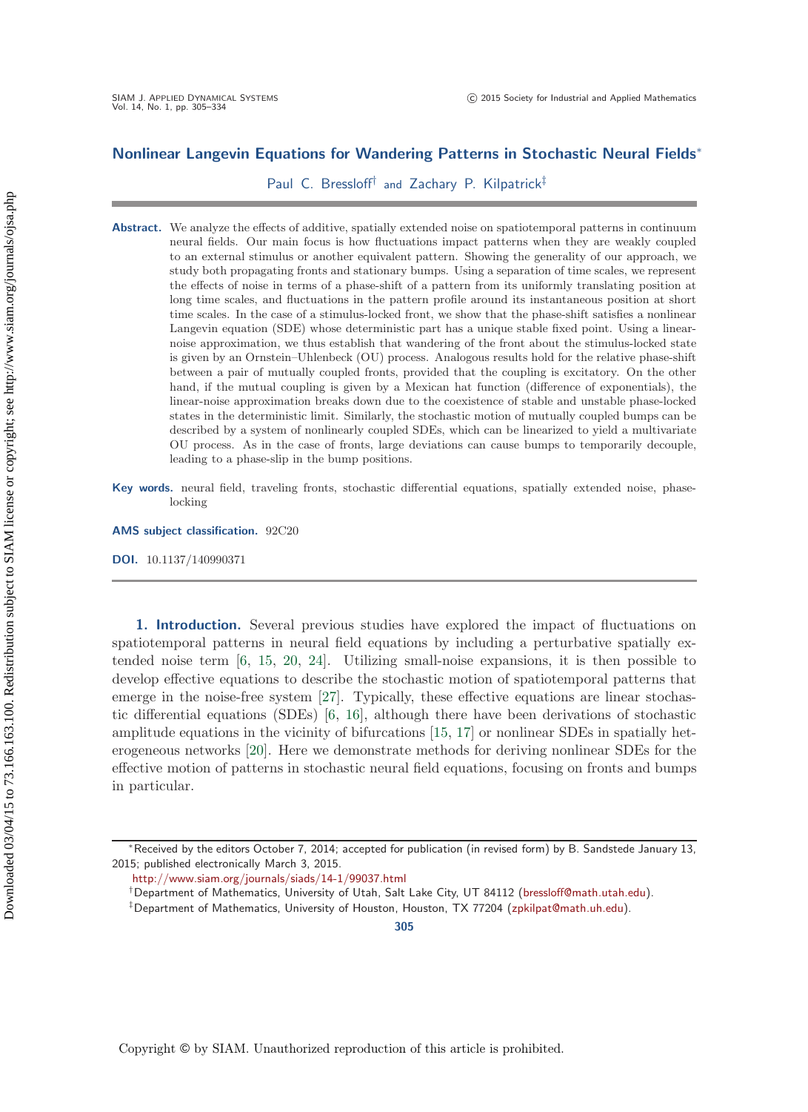# **Nonlinear Langevin Equations for Wandering Patterns in Stochastic Neural Fields**<sup>∗</sup>

Paul C. Bressloff<sup>†</sup> and Zachary P. Kilpatrick<sup>‡</sup>

Abstract. We analyze the effects of additive, spatially extended noise on spatiotemporal patterns in continuum neural fields. Our main focus is how fluctuations impact patterns when they are weakly coupled to an external stimulus or another equivalent pattern. Showing the generality of our approach, we study both propagating fronts and stationary bumps. Using a separation of time scales, we represent the effects of noise in terms of a phase-shift of a pattern from its uniformly translating position at long time scales, and fluctuations in the pattern profile around its instantaneous position at short time scales. In the case of a stimulus-locked front, we show that the phase-shift satisfies a nonlinear Langevin equation (SDE) whose deterministic part has a unique stable fixed point. Using a linearnoise approximation, we thus establish that wandering of the front about the stimulus-locked state is given by an Ornstein–Uhlenbeck (OU) process. Analogous results hold for the relative phase-shift between a pair of mutually coupled fronts, provided that the coupling is excitatory. On the other hand, if the mutual coupling is given by a Mexican hat function (difference of exponentials), the linear-noise approximation breaks down due to the coexistence of stable and unstable phase-locked states in the deterministic limit. Similarly, the stochastic motion of mutually coupled bumps can be described by a system of nonlinearly coupled SDEs, which can be linearized to yield a multivariate OU process. As in the case of fronts, large deviations can cause bumps to temporarily decouple, leading to a phase-slip in the bump positions.

**Key words.** neural field, traveling fronts, stochastic differential equations, spatially extended noise, phaselocking

**AMS subject classification.** 92C20

**DOI.** 10.1137/140990371

**1. Introduction.** Several previous studies have explored the impact of fluctuations on spatiotemporal patterns in neural field equations by including a perturbative spatially extended noise term [\[6,](#page-28-0) [15,](#page-28-1) [20,](#page-28-2) [24\]](#page-28-3). Utilizing small-noise expansions, it is then possible to develop effective equations to describe the stochastic motion of spatiotemporal patterns that emerge in the noise-free system [\[27\]](#page-29-0). Typically, these effective equations are linear stochastic differential equations (SDEs) [\[6,](#page-28-0) [16\]](#page-28-4), although there have been derivations of stochastic amplitude equations in the vicinity of bifurcations [\[15,](#page-28-1) [17\]](#page-28-5) or nonlinear SDEs in spatially heterogeneous networks [\[20\]](#page-28-2). Here we demonstrate methods for deriving nonlinear SDEs for the effective motion of patterns in stochastic neural field equations, focusing on fronts and bumps in particular.

<sup>∗</sup>Received by the editors October 7, 2014; accepted for publication (in revised form) by B. Sandstede January 13, 2015; published electronically March 3, 2015.

<http://www.siam.org/journals/siads/14-1/99037.html>

<sup>†</sup>Department of Mathematics, University of Utah, Salt Lake City, UT 84112 [\(bressloff@math.utah.edu\)](mailto:bressloff@math.utah.edu).

<sup>‡</sup>Department of Mathematics, University of Houston, Houston, TX 77204 [\(zpkilpat@math.uh.edu\)](mailto:zpkilpat@math.uh.edu).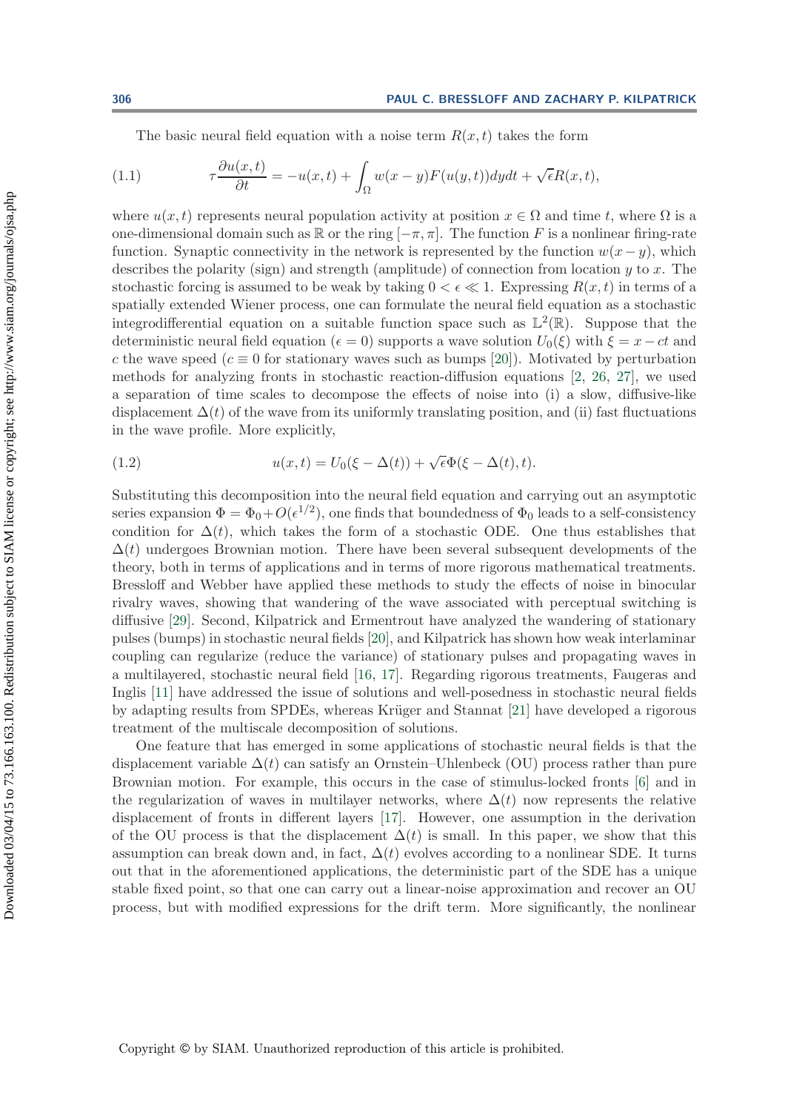The basic neural field equation with a noise term  $R(x, t)$  takes the form

(1.1) 
$$
\tau \frac{\partial u(x,t)}{\partial t} = -u(x,t) + \int_{\Omega} w(x-y) F(u(y,t)) dy dt + \sqrt{\epsilon} R(x,t),
$$

where  $u(x, t)$  represents neural population activity at position  $x \in \Omega$  and time t, where  $\Omega$  is a one-dimensional domain such as  $\mathbb R$  or the ring  $[-\pi, \pi]$ . The function F is a nonlinear firing-rate function. Synaptic connectivity in the network is represented by the function  $w(x - y)$ , which describes the polarity (sign) and strength (amplitude) of connection from location  $y$  to  $x$ . The stochastic forcing is assumed to be weak by taking  $0 < \epsilon \ll 1$ . Expressing  $R(x, t)$  in terms of a spatially extended Wiener process, one can formulate the neural field equation as a stochastic integrodifferential equation on a suitable function space such as  $\mathbb{L}^2(\mathbb{R})$ . Suppose that the deterministic neural field equation ( $\epsilon = 0$ ) supports a wave solution  $U_0(\xi)$  with  $\xi = x - ct$  and c the wave speed ( $c \equiv 0$  for stationary waves such as bumps [\[20\]](#page-28-2)). Motivated by perturbation methods for analyzing fronts in stochastic reaction-diffusion equations [\[2,](#page-28-6) [26,](#page-28-7) [27\]](#page-29-0), we used a separation of time scales to decompose the effects of noise into (i) a slow, diffusive-like displacement  $\Delta(t)$  of the wave from its uniformly translating position, and (ii) fast fluctuations in the wave profile. More explicitly,

(1.2) 
$$
u(x,t) = U_0(\xi - \Delta(t)) + \sqrt{\epsilon} \Phi(\xi - \Delta(t), t).
$$

Substituting this decomposition into the neural field equation and carrying out an asymptotic series expansion  $\Phi = \Phi_0 + O(\epsilon^{1/2})$ , one finds that boundedness of  $\Phi_0$  leads to a self-consistency condition for  $\Delta(t)$ , which takes the form of a stochastic ODE. One thus establishes that  $\Delta(t)$  undergoes Brownian motion. There have been several subsequent developments of the theory, both in terms of applications and in terms of more rigorous mathematical treatments. Bressloff and Webber have applied these methods to study the effects of noise in binocular rivalry waves, showing that wandering of the wave associated with perceptual switching is diffusive [\[29\]](#page-29-1). Second, Kilpatrick and Ermentrout have analyzed the wandering of stationary pulses (bumps) in stochastic neural fields [\[20\]](#page-28-2), and Kilpatrick has shown how weak interlaminar coupling can regularize (reduce the variance) of stationary pulses and propagating waves in a multilayered, stochastic neural field [\[16,](#page-28-4) [17\]](#page-28-5). Regarding rigorous treatments, Faugeras and Inglis [\[11\]](#page-28-8) have addressed the issue of solutions and well-posedness in stochastic neural fields by adapting results from SPDEs, whereas Krüger and Stannat [\[21\]](#page-28-9) have developed a rigorous treatment of the multiscale decomposition of solutions.

One feature that has emerged in some applications of stochastic neural fields is that the displacement variable  $\Delta(t)$  can satisfy an Ornstein–Uhlenbeck (OU) process rather than pure Brownian motion. For example, this occurs in the case of stimulus-locked fronts [\[6\]](#page-28-0) and in the regularization of waves in multilayer networks, where  $\Delta(t)$  now represents the relative displacement of fronts in different layers [\[17\]](#page-28-5). However, one assumption in the derivation of the OU process is that the displacement  $\Delta(t)$  is small. In this paper, we show that this assumption can break down and, in fact,  $\Delta(t)$  evolves according to a nonlinear SDE. It turns out that in the aforementioned applications, the deterministic part of the SDE has a unique stable fixed point, so that one can carry out a linear-noise approximation and recover an OU process, but with modified expressions for the drift term. More significantly, the nonlinear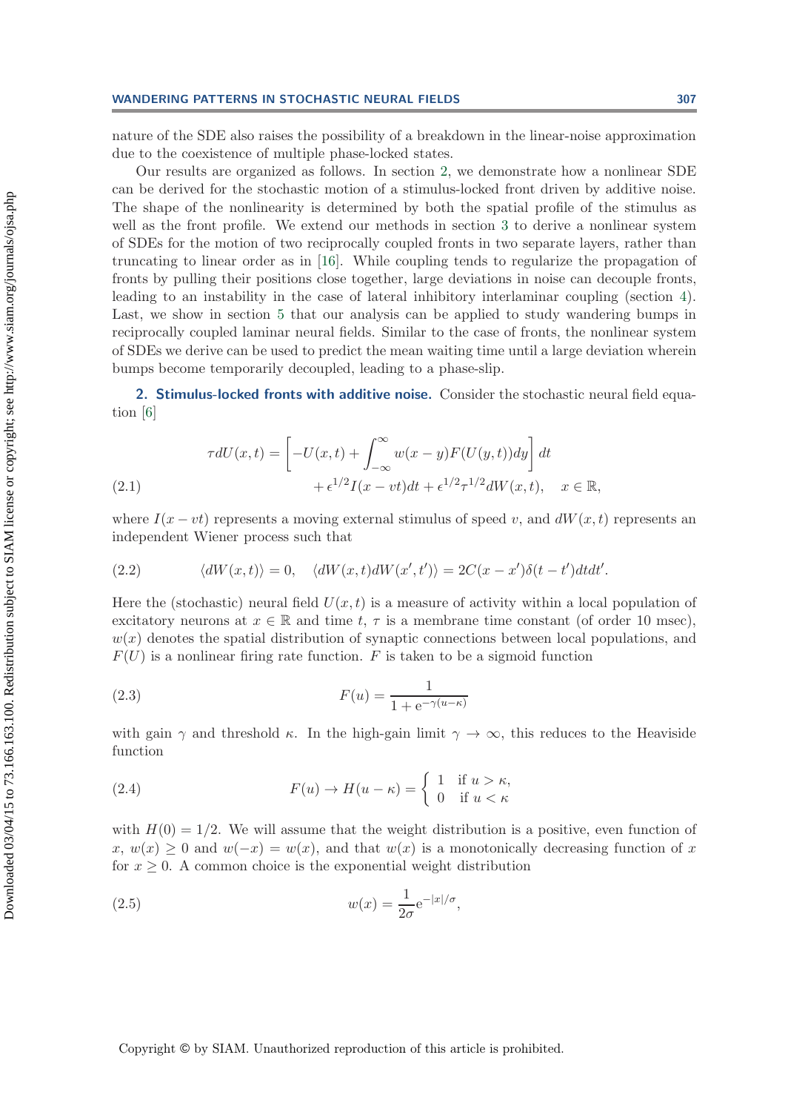nature of the SDE also raises the possibility of a breakdown in the linear-noise approximation due to the coexistence of multiple phase-locked states.

Our results are organized as follows. In section [2,](#page-2-0) we demonstrate how a nonlinear SDE can be derived for the stochastic motion of a stimulus-locked front driven by additive noise. The shape of the nonlinearity is determined by both the spatial profile of the stimulus as well as the front profile. We extend our methods in section [3](#page-9-0) to derive a nonlinear system of SDEs for the motion of two reciprocally coupled fronts in two separate layers, rather than truncating to linear order as in [\[16\]](#page-28-4). While coupling tends to regularize the propagation of fronts by pulling their positions close together, large deviations in noise can decouple fronts, leading to an instability in the case of lateral inhibitory interlaminar coupling (section [4\)](#page-15-0). Last, we show in section [5](#page-21-0) that our analysis can be applied to study wandering bumps in reciprocally coupled laminar neural fields. Similar to the case of fronts, the nonlinear system of SDEs we derive can be used to predict the mean waiting time until a large deviation wherein bumps become temporarily decoupled, leading to a phase-slip.

<span id="page-2-0"></span>**2. Stimulus-locked fronts with additive noise.** Consider the stochastic neural field equation [\[6\]](#page-28-0)

<span id="page-2-2"></span>(2.1) 
$$
\tau dU(x,t) = \left[ -U(x,t) + \int_{-\infty}^{\infty} w(x-y) F(U(y,t)) dy \right] dt + \epsilon^{1/2} I(x-vt) dt + \epsilon^{1/2} \tau^{1/2} dW(x,t), \quad x \in \mathbb{R},
$$

where  $I(x - vt)$  represents a moving external stimulus of speed v, and  $dW(x, t)$  represents an independent Wiener process such that

(2.2) 
$$
\langle dW(x,t) \rangle = 0, \quad \langle dW(x,t) dW(x',t') \rangle = 2C(x-x')\delta(t-t')dtdt'.
$$

Here the (stochastic) neural field  $U(x, t)$  is a measure of activity within a local population of excitatory neurons at  $x \in \mathbb{R}$  and time  $t, \tau$  is a membrane time constant (of order 10 msec),  $w(x)$  denotes the spatial distribution of synaptic connections between local populations, and  $F(U)$  is a nonlinear firing rate function. F is taken to be a sigmoid function

(2.3) 
$$
F(u) = \frac{1}{1 + e^{-\gamma(u-\kappa)}}
$$

with gain  $\gamma$  and threshold  $\kappa$ . In the high-gain limit  $\gamma \to \infty$ , this reduces to the Heaviside function

(2.4) 
$$
F(u) \to H(u - \kappa) = \begin{cases} 1 & \text{if } u > \kappa, \\ 0 & \text{if } u < \kappa \end{cases}
$$

with  $H(0) = 1/2$ . We will assume that the weight distribution is a positive, even function of  $x, w(x) \geq 0$  and  $w(-x) = w(x)$ , and that  $w(x)$  is a monotonically decreasing function of x for  $x \geq 0$ . A common choice is the exponential weight distribution

<span id="page-2-1"></span>(2.5) 
$$
w(x) = \frac{1}{2\sigma} e^{-|x|/\sigma},
$$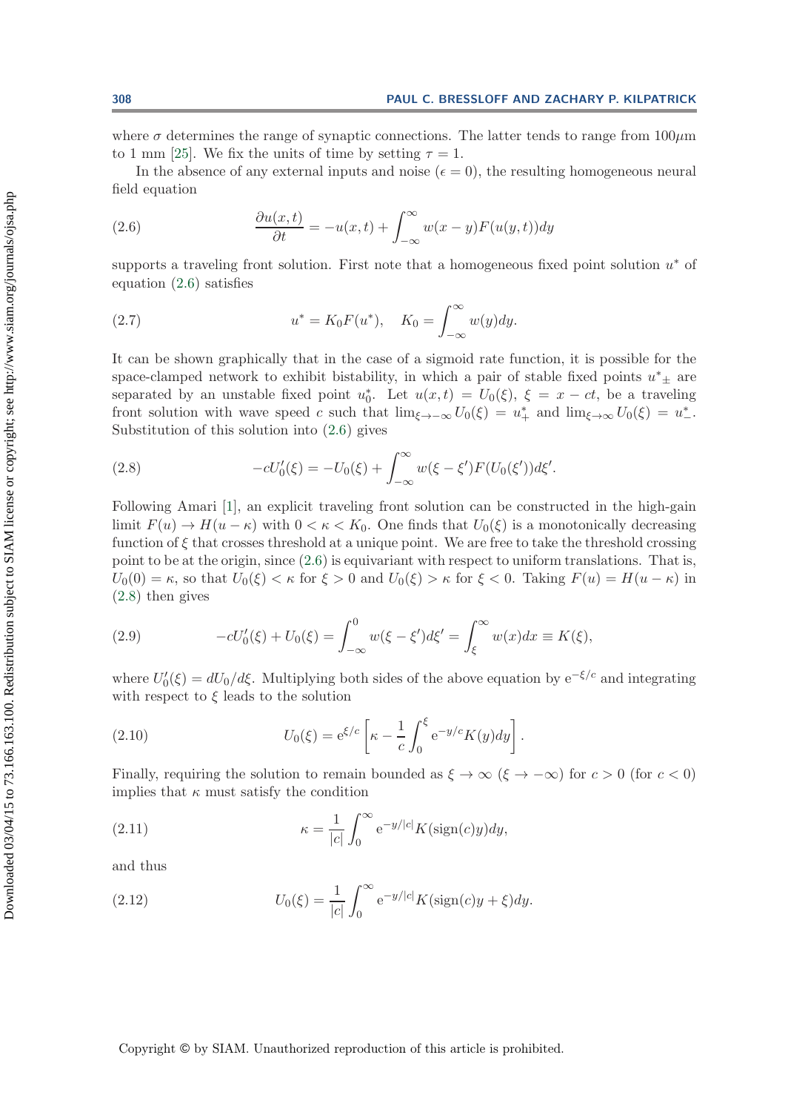where  $\sigma$  determines the range of synaptic connections. The latter tends to range from  $100 \mu m$ to 1 mm [\[25\]](#page-28-10). We fix the units of time by setting  $\tau = 1$ .

<span id="page-3-0"></span>In the absence of any external inputs and noise ( $\epsilon = 0$ ), the resulting homogeneous neural field equation

(2.6) 
$$
\frac{\partial u(x,t)}{\partial t} = -u(x,t) + \int_{-\infty}^{\infty} w(x-y) F(u(y,t)) dy
$$

supports a traveling front solution. First note that a homogeneous fixed point solution  $u^*$  of equation [\(2.6\)](#page-3-0) satisfies

(2.7) 
$$
u^* = K_0 F(u^*), \quad K_0 = \int_{-\infty}^{\infty} w(y) dy.
$$

It can be shown graphically that in the case of a sigmoid rate function, it is possible for the space-clamped network to exhibit bistability, in which a pair of stable fixed points  $u^*_{\pm}$  are separated by an unstable fixed point  $u_0^*$ . Let  $u(x,t) = U_0(\xi)$ ,  $\xi = x - ct$ , be a traveling front solution with wave speed c such that  $\lim_{\xi \to -\infty} U_0(\xi) = u^*$  and  $\lim_{\xi \to \infty} U_0(\xi) = u^*$ . Substitution of this solution into [\(2.6\)](#page-3-0) gives

<span id="page-3-1"></span>(2.8) 
$$
-cU'_0(\xi) = -U_0(\xi) + \int_{-\infty}^{\infty} w(\xi - \xi') F(U_0(\xi')) d\xi'.
$$

Following Amari [\[1\]](#page-28-11), an explicit traveling front solution can be constructed in the high-gain limit  $F(u) \to H(u-\kappa)$  with  $0 < \kappa < K_0$ . One finds that  $U_0(\xi)$  is a monotonically decreasing function of  $\xi$  that crosses threshold at a unique point. We are free to take the threshold crossing point to be at the origin, since [\(2.6\)](#page-3-0) is equivariant with respect to uniform translations. That is,  $U_0(0) = \kappa$ , so that  $U_0(\xi) < \kappa$  for  $\xi > 0$  and  $U_0(\xi) > \kappa$  for  $\xi < 0$ . Taking  $F(u) = H(u - \kappa)$  in [\(2.8\)](#page-3-1) then gives

<span id="page-3-2"></span>(2.9) 
$$
-cU_0'(\xi) + U_0(\xi) = \int_{-\infty}^0 w(\xi - \xi')d\xi' = \int_{\xi}^{\infty} w(x)dx \equiv K(\xi),
$$

where  $U_0'(\xi) = dU_0/d\xi$ . Multiplying both sides of the above equation by  $e^{-\xi/c}$  and integrating with respect to  $\xi$  leads to the solution

<span id="page-3-4"></span>.

(2.10) 
$$
U_0(\xi) = e^{\xi/c} \left[ \kappa - \frac{1}{c} \int_0^{\xi} e^{-y/c} K(y) dy \right]
$$

Finally, requiring the solution to remain bounded as  $\xi \to \infty$  ( $\xi \to -\infty$ ) for  $c > 0$  (for  $c < 0$ ) implies that  $\kappa$  must satisfy the condition

(2.11) 
$$
\kappa = \frac{1}{|c|} \int_0^\infty e^{-y/|c|} K(\text{sign}(c)y) dy,
$$

<span id="page-3-3"></span>and thus

(2.12) 
$$
U_0(\xi) = \frac{1}{|c|} \int_0^\infty e^{-y/|c|} K(\text{sign}(c)y + \xi) dy.
$$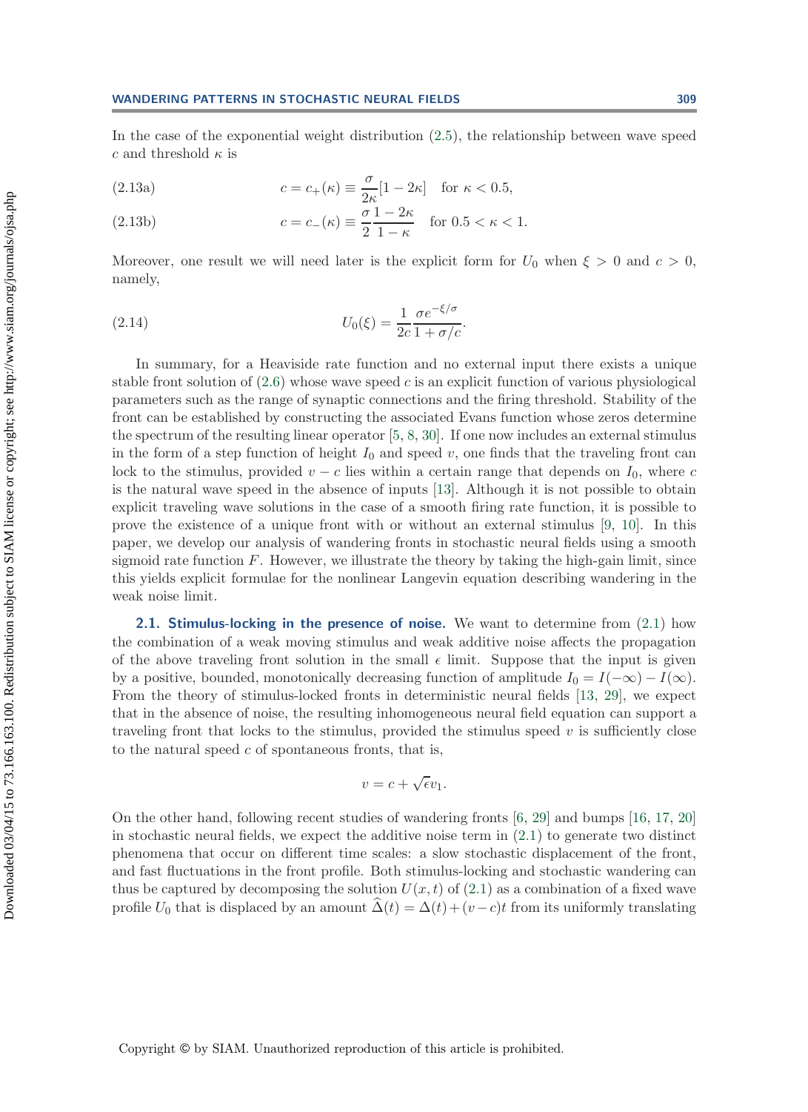In the case of the exponential weight distribution [\(2.5\)](#page-2-1), the relationship between wave speed c and threshold  $\kappa$  is

(2.13a) 
$$
c = c_{+}(\kappa) \equiv \frac{\sigma}{2\kappa} [1 - 2\kappa] \text{ for } \kappa < 0.5,
$$

(2.13b) 
$$
c = c_{-}(\kappa) \equiv \frac{\sigma}{2} \frac{1 - 2\kappa}{1 - \kappa}
$$
 for  $0.5 < \kappa < 1$ .

<span id="page-4-0"></span>Moreover, one result we will need later is the explicit form for  $U_0$  when  $\xi > 0$  and  $c > 0$ , namely,

(2.14) 
$$
U_0(\xi) = \frac{1}{2c} \frac{\sigma e^{-\xi/\sigma}}{1 + \sigma/c}.
$$

In summary, for a Heaviside rate function and no external input there exists a unique stable front solution of  $(2.6)$  whose wave speed c is an explicit function of various physiological parameters such as the range of synaptic connections and the firing threshold. Stability of the front can be established by constructing the associated Evans function whose zeros determine the spectrum of the resulting linear operator [\[5,](#page-28-12) [8,](#page-28-13) [30\]](#page-29-2). If one now includes an external stimulus in the form of a step function of height  $I_0$  and speed v, one finds that the traveling front can lock to the stimulus, provided  $v - c$  lies within a certain range that depends on  $I_0$ , where c is the natural wave speed in the absence of inputs [\[13\]](#page-28-14). Although it is not possible to obtain explicit traveling wave solutions in the case of a smooth firing rate function, it is possible to prove the existence of a unique front with or without an external stimulus [\[9,](#page-28-15) [10\]](#page-28-16). In this paper, we develop our analysis of wandering fronts in stochastic neural fields using a smooth sigmoid rate function  $F$ . However, we illustrate the theory by taking the high-gain limit, since this yields explicit formulae for the nonlinear Langevin equation describing wandering in the weak noise limit.

**2.1. Stimulus-locking in the presence of noise.** We want to determine from [\(2.1\)](#page-2-2) how the combination of a weak moving stimulus and weak additive noise affects the propagation of the above traveling front solution in the small  $\epsilon$  limit. Suppose that the input is given by a positive, bounded, monotonically decreasing function of amplitude  $I_0 = I(-\infty) - I(\infty)$ . From the theory of stimulus-locked fronts in deterministic neural fields [\[13,](#page-28-14) [29\]](#page-29-1), we expect that in the absence of noise, the resulting inhomogeneous neural field equation can support a traveling front that locks to the stimulus, provided the stimulus speed  $v$  is sufficiently close to the natural speed  $c$  of spontaneous fronts, that is,

$$
v = c + \sqrt{\epsilon}v_1.
$$

On the other hand, following recent studies of wandering fronts [\[6,](#page-28-0) [29\]](#page-29-1) and bumps [\[16,](#page-28-4) [17,](#page-28-5) [20\]](#page-28-2) in stochastic neural fields, we expect the additive noise term in [\(2.1\)](#page-2-2) to generate two distinct phenomena that occur on different time scales: a slow stochastic displacement of the front, and fast fluctuations in the front profile. Both stimulus-locking and stochastic wandering can thus be captured by decomposing the solution  $U(x, t)$  of [\(2.1\)](#page-2-2) as a combination of a fixed wave profile  $U_0$  that is displaced by an amount  $\Delta(t) = \Delta(t)+(v-c)t$  from its uniformly translating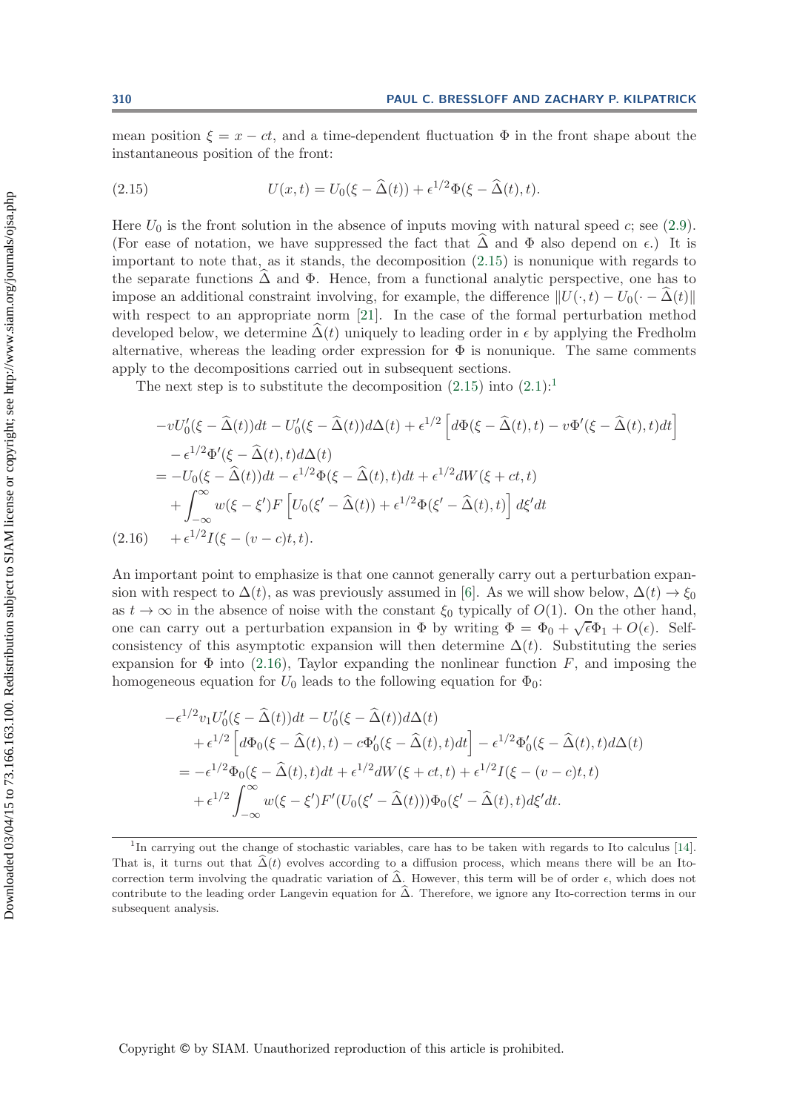<span id="page-5-0"></span>mean position  $\xi = x - ct$ , and a time-dependent fluctuation  $\Phi$  in the front shape about the instantaneous position of the front:

(2.15) 
$$
U(x,t) = U_0(\xi - \widehat{\Delta}(t)) + \epsilon^{1/2} \Phi(\xi - \widehat{\Delta}(t), t).
$$

Here  $U_0$  is the front solution in the absence of inputs moving with natural speed c; see [\(2.9\)](#page-3-2). (For ease of notation, we have suppressed the fact that  $\widehat{\Delta}$  and  $\Phi$  also depend on  $\epsilon$ .) It is important to note that, as it stands, the decomposition [\(2.15\)](#page-5-0) is nonunique with regards to the separate functions  $\widehat{\Delta}$  and  $\Phi$ . Hence, from a functional analytic perspective, one has to impose an additional constraint involving, for example, the difference  $||U(\cdot, t) - U_0(\cdot - \hat{\Delta}(t))||$ with respect to an appropriate norm [\[21\]](#page-28-9). In the case of the formal perturbation method developed below, we determine  $\Delta(t)$  uniquely to leading order in  $\epsilon$  by applying the Fredholm alternative, whereas the leading order expression for  $\Phi$  is nonunique. The same comments apply to the decompositions carried out in subsequent sections.

The next step is to substitute the decomposition  $(2.15)$  into  $(2.1)$ :

<span id="page-5-2"></span>
$$
-vU_0'(\xi - \widehat{\Delta}(t))dt - U_0'(\xi - \widehat{\Delta}(t))d\Delta(t) + \epsilon^{1/2} \left[d\Phi(\xi - \widehat{\Delta}(t), t) - v\Phi'(\xi - \widehat{\Delta}(t), t)dt\right]
$$
  

$$
- \epsilon^{1/2}\Phi'(\xi - \widehat{\Delta}(t), t)d\Delta(t)
$$
  

$$
= -U_0(\xi - \widehat{\Delta}(t))dt - \epsilon^{1/2}\Phi(\xi - \widehat{\Delta}(t), t)dt + \epsilon^{1/2}dW(\xi + ct, t)
$$
  

$$
+ \int_{-\infty}^{\infty} w(\xi - \xi')F\left[U_0(\xi' - \widehat{\Delta}(t)) + \epsilon^{1/2}\Phi(\xi' - \widehat{\Delta}(t), t)\right]d\xi'dt
$$
  
(2.16) 
$$
+ \epsilon^{1/2}I(\xi - (v - c)t, t).
$$

An important point to emphasize is that one cannot generally carry out a perturbation expansion with respect to  $\Delta(t)$ , as was previously assumed in [\[6\]](#page-28-0). As we will show below,  $\Delta(t) \rightarrow \xi_0$ as  $t \to \infty$  in the absence of noise with the constant  $\xi_0$  typically of  $O(1)$ . On the other hand, one can carry out a perturbation expansion in  $\Phi$  by writing  $\Phi = \Phi_0 + \sqrt{\epsilon} \Phi_1 + O(\epsilon)$ . Selfconsistency of this asymptotic expansion will then determine  $\Delta(t)$ . Substituting the series expansion for  $\Phi$  into [\(2.16\)](#page-5-2), Taylor expanding the nonlinear function F, and imposing the homogeneous equation for  $U_0$  leads to the following equation for  $\Phi_0$ :

$$
-\epsilon^{1/2}v_1U'_0(\xi - \widehat{\Delta}(t))dt - U'_0(\xi - \widehat{\Delta}(t))d\Delta(t)
$$
  
+  $\epsilon^{1/2}\left[d\Phi_0(\xi - \widehat{\Delta}(t), t) - c\Phi'_0(\xi - \widehat{\Delta}(t), t)dt\right] - \epsilon^{1/2}\Phi'_0(\xi - \widehat{\Delta}(t), t)d\Delta(t)$   
=  $-\epsilon^{1/2}\Phi_0(\xi - \widehat{\Delta}(t), t)dt + \epsilon^{1/2}dW(\xi + ct, t) + \epsilon^{1/2}I(\xi - (v - c)t, t)$   
+  $\epsilon^{1/2}\int_{-\infty}^{\infty}w(\xi - \xi')F'(U_0(\xi' - \widehat{\Delta}(t)))\Phi_0(\xi' - \widehat{\Delta}(t), t)d\xi'dt.$ 

<span id="page-5-1"></span><sup>1</sup>In carrying out the change of stochastic variables, care has to be taken with regards to Ito calculus [\[14\]](#page-28-17). <sup>1</sup>In carrying out the change of stochastic variables, care has to be taken with regards to Ito calculus [14].<br>That is, it turns out that  $\hat{\Delta}(t)$  evolves according to a diffusion process, which means there will be an It <sup>1</sup>In carrying out the change of stochastic variables, care has to be taken with regards to That is, it turns out that  $\hat{\Delta}(t)$  evolves according to a diffusion process, which means the correction term involving the quad  $\Delta$ . However, this term will be of order  $\epsilon$ , which does not In carrying out the change of stochastic variables, care has to be taken with regards to 1to calculus [14].<br>That is, it turns out that  $\hat{\Delta}(t)$  evolves according to a diffusion process, which means there will be an Itocontribute to the leading order Langevin equation for  $\hat{\Delta}$ . Therefore, we ignore any Ito-correction terms in our subsequent analysis.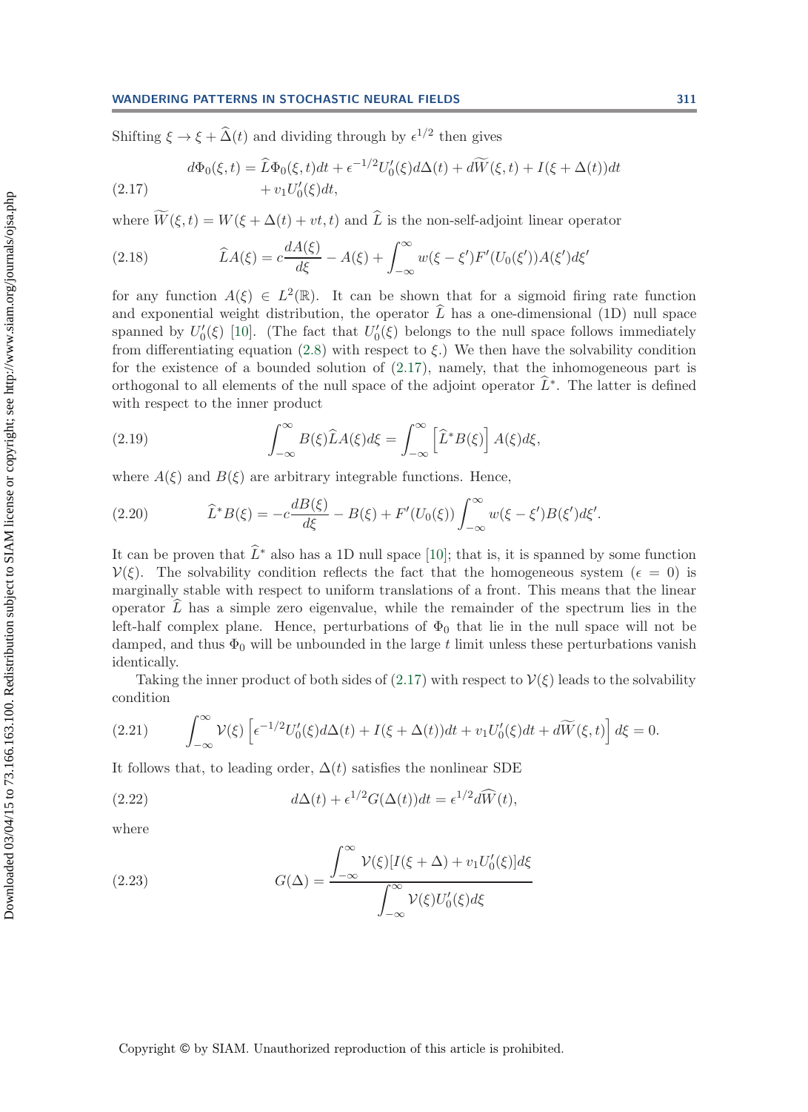Shifting  $\xi \to \xi + \widehat{\Delta}(t)$  and dividing through by  $\epsilon^{1/2}$  then gives

<span id="page-6-0"></span>(2.17) 
$$
d\Phi_0(\xi, t) = \widehat{L}\Phi_0(\xi, t)dt + \epsilon^{-1/2}U'_0(\xi)d\Delta(t) + d\widetilde{W}(\xi, t) + I(\xi + \Delta(t))dt + v_1U'_0(\xi)dt,
$$

<span id="page-6-2"></span>where  $\widetilde{W}(\xi, t) = W(\xi + \Delta(t) + vt, t)$  and  $\widehat{L}$  is the non-self-adjoint linear operator

(2.18) 
$$
\widehat{L}A(\xi) = c\frac{dA(\xi)}{d\xi} - A(\xi) + \int_{-\infty}^{\infty} w(\xi - \xi')F'(U_0(\xi'))A(\xi')d\xi'
$$

for any function  $A(\xi) \in L^2(\mathbb{R})$ . It can be shown that for a sigmoid firing rate function and exponential weight distribution, the operator  $\widehat{L}$  has a one-dimensional (1D) null space spanned by  $U_0'(\xi)$  [\[10\]](#page-28-16). (The fact that  $U_0'(\xi)$  belongs to the null space follows immediately from differentiating equation [\(2.8\)](#page-3-1) with respect to  $\xi$ .) We then have the solvability condition for the existence of a bounded solution of [\(2.17\)](#page-6-0), namely, that the inhomogeneous part is orthogonal to all elements of the null space of the adjoint operator  $\widehat{L}^*$ . The latter is defined with respect to the inner product

(2.19) 
$$
\int_{-\infty}^{\infty} B(\xi) \widehat{L} A(\xi) d\xi = \int_{-\infty}^{\infty} \left[ \widehat{L}^* B(\xi) \right] A(\xi) d\xi,
$$

where  $A(\xi)$  and  $B(\xi)$  are arbitrary integrable functions. Hence,

(2.20) 
$$
\widehat{L}^*B(\xi) = -c\frac{dB(\xi)}{d\xi} - B(\xi) + F'(U_0(\xi))\int_{-\infty}^{\infty} w(\xi - \xi')B(\xi')d\xi'.
$$

It can be proven that  $\widehat{L}^*$  also has a 1D null space [\[10\]](#page-28-16); that is, it is spanned by some function  $V(\xi)$ . The solvability condition reflects the fact that the homogeneous system ( $\epsilon = 0$ ) is marginally stable with respect to uniform translations of a front. This means that the linear operator  $L$  has a simple zero eigenvalue, while the remainder of the spectrum lies in the left-half complex plane. Hence, perturbations of  $\Phi_0$  that lie in the null space will not be damped, and thus  $\Phi_0$  will be unbounded in the large t limit unless these perturbations vanish identically.

Taking the inner product of both sides of [\(2.17\)](#page-6-0) with respect to  $\mathcal{V}(\xi)$  leads to the solvability condition

(2.21) 
$$
\int_{-\infty}^{\infty} V(\xi) \left[ \epsilon^{-1/2} U_0'(\xi) d\Delta(t) + I(\xi + \Delta(t)) dt + v_1 U_0'(\xi) dt + d\widetilde{W}(\xi, t) \right] d\xi = 0.
$$

It follows that, to leading order,  $\Delta(t)$  satisfies the nonlinear SDE

<span id="page-6-1"></span>(2.22) 
$$
d\Delta(t) + \epsilon^{1/2} G(\Delta(t)) dt = \epsilon^{1/2} d\widehat{W}(t),
$$

where

(2.23) 
$$
G(\Delta) = \frac{\int_{-\infty}^{\infty} \mathcal{V}(\xi)[I(\xi + \Delta) + v_1 U_0'(\xi)]d\xi}{\int_{-\infty}^{\infty} \mathcal{V}(\xi)U_0'(\xi)d\xi}
$$

### Copyright © by SIAM. Unauthorized reproduction of this article is prohibited.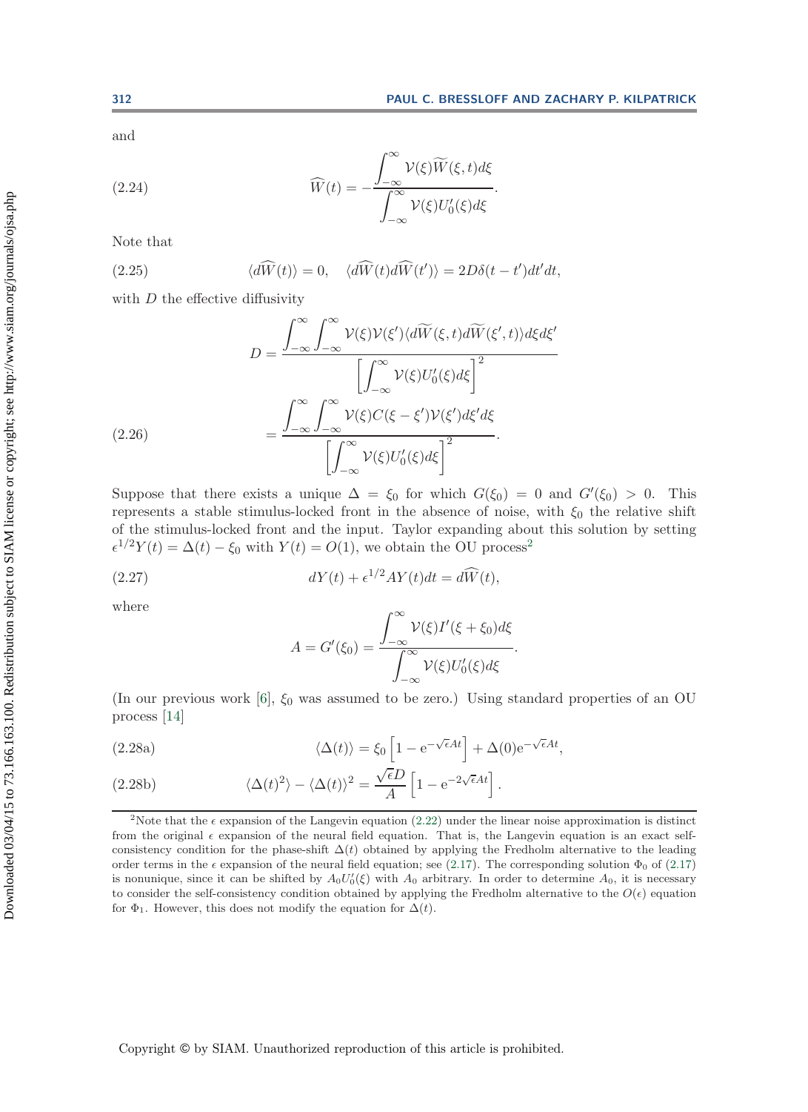and

(2.24) 
$$
\widehat{W}(t) = -\frac{\int_{-\infty}^{\infty} V(\xi) \widetilde{W}(\xi, t) d\xi}{\int_{-\infty}^{\infty} V(\xi) U'_{0}(\xi) d\xi}.
$$

Note that

(2.25) 
$$
\langle d\widehat{W}(t)\rangle = 0, \quad \langle d\widehat{W}(t)d\widehat{W}(t')\rangle = 2D\delta(t-t')dt'dt,
$$

with  $D$  the effective diffusivity

<span id="page-7-1"></span>
$$
D = \frac{\int_{-\infty}^{\infty} \int_{-\infty}^{\infty} \mathcal{V}(\xi) \mathcal{V}(\xi') \langle d\widetilde{W}(\xi, t) d\widetilde{W}(\xi', t) \rangle d\xi d\xi'}{\left[\int_{-\infty}^{\infty} \mathcal{V}(\xi) U'_{0}(\xi) d\xi\right]^{2}}
$$
\n
$$
= \frac{\int_{-\infty}^{\infty} \int_{-\infty}^{\infty} \mathcal{V}(\xi) C(\xi - \xi') \mathcal{V}(\xi') d\xi' d\xi}{\left[\int_{-\infty}^{\infty} \mathcal{V}(\xi) U'_{0}(\xi) d\xi\right]^{2}}.
$$

Suppose that there exists a unique  $\Delta = \xi_0$  for which  $G(\xi_0) = 0$  and  $G'(\xi_0) > 0$ . This represents a stable stimulus-locked front in the absence of noise, with  $\xi_0$  the relative shift of the stimulus-locked front and the input. Taylor expanding about this solution by setting  $\epsilon^{1/2}Y(t) = \Delta(t) - \xi_0$  $\epsilon^{1/2}Y(t) = \Delta(t) - \xi_0$  $\epsilon^{1/2}Y(t) = \Delta(t) - \xi_0$  with  $Y(t) = O(1)$ , we obtain the OU process<sup>2</sup>

(2.27) 
$$
dY(t) + \epsilon^{1/2} AY(t) dt = d\widehat{W}(t),
$$

where

$$
A = G'(\xi_0) = \frac{\int_{-\infty}^{\infty} \mathcal{V}(\xi) I'(\xi + \xi_0) d\xi}{\int_{-\infty}^{\infty} \mathcal{V}(\xi) U'_0(\xi) d\xi}
$$

.

(In our previous work  $[6]$ ,  $\xi_0$  was assumed to be zero.) Using standard properties of an OU process [\[14\]](#page-28-17)

<span id="page-7-2"></span>(2.28a) 
$$
\langle \Delta(t) \rangle = \xi_0 \left[ 1 - e^{-\sqrt{\epsilon}At} \right] + \Delta(0) e^{-\sqrt{\epsilon}At},
$$

(2.28b) 
$$
\langle \Delta(t)^2 \rangle - \langle \Delta(t) \rangle^2 = \frac{\sqrt{\epsilon}D}{A} \left[ 1 - e^{-2\sqrt{\epsilon}At} \right].
$$

<span id="page-7-0"></span><sup>&</sup>lt;sup>2</sup>Note that the  $\epsilon$  expansion of the Langevin equation [\(2.22\)](#page-6-1) under the linear noise approximation is distinct from the original  $\epsilon$  expansion of the neural field equation. That is, the Langevin equation is an exact selfconsistency condition for the phase-shift  $\Delta(t)$  obtained by applying the Fredholm alternative to the leading order terms in the  $\epsilon$  expansion of the neural field equation; see [\(2.17\)](#page-6-0). The corresponding solution  $\Phi_0$  of (2.17) is nonunique, since it can be shifted by  $A_0U_0'(\xi)$  with  $A_0$  arbitrary. In order to determine  $A_0$ , it is necessary to consider the self-consistency condition obtained by applying the Fredholm alternative to the  $O(\epsilon)$  equation for  $\Phi_1$ . However, this does not modify the equation for  $\Delta(t)$ .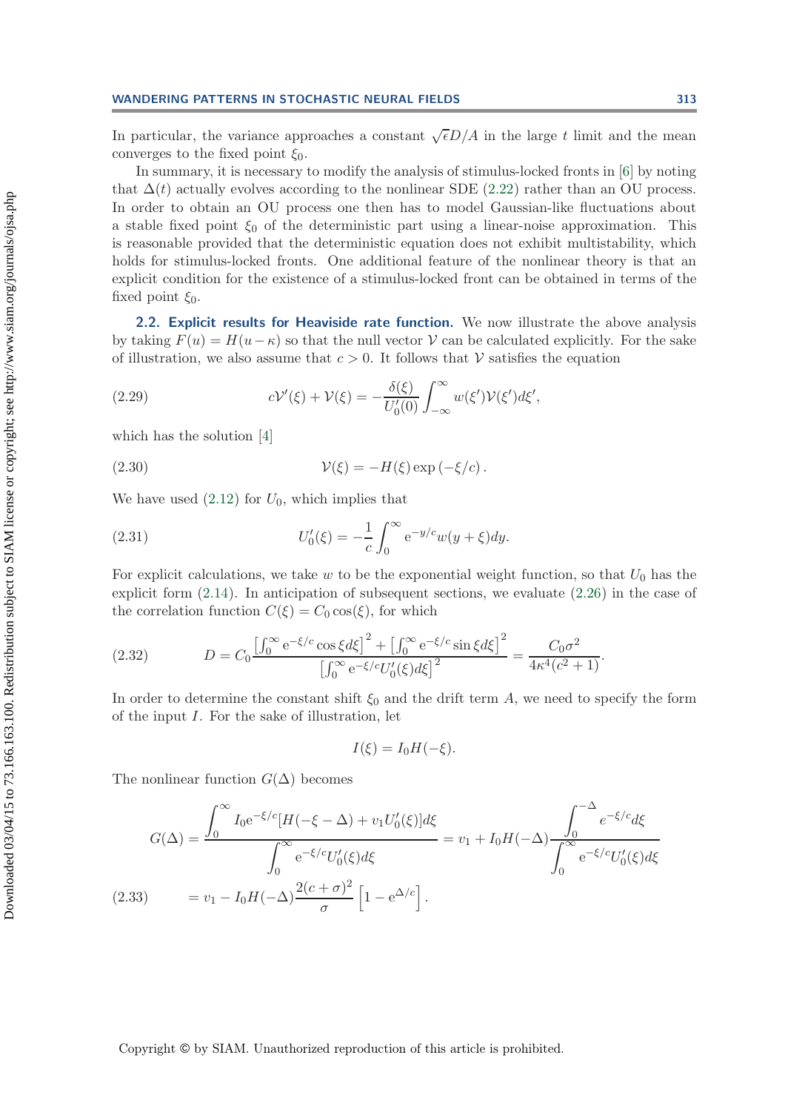In particular, the variance approaches a constant  $\sqrt{\epsilon D}/A$  in the large t limit and the mean converges to the fixed point  $\xi_0$ .

In summary, it is necessary to modify the analysis of stimulus-locked fronts in [\[6\]](#page-28-0) by noting that  $\Delta(t)$  actually evolves according to the nonlinear SDE [\(2.22\)](#page-6-1) rather than an OU process. In order to obtain an OU process one then has to model Gaussian-like fluctuations about a stable fixed point  $\xi_0$  of the deterministic part using a linear-noise approximation. This is reasonable provided that the deterministic equation does not exhibit multistability, which holds for stimulus-locked fronts. One additional feature of the nonlinear theory is that an explicit condition for the existence of a stimulus-locked front can be obtained in terms of the fixed point  $\xi_0$ .

<span id="page-8-0"></span>**2.2. Explicit results for Heaviside rate function.** We now illustrate the above analysis by taking  $F(u) = H(u-\kappa)$  so that the null vector V can be calculated explicitly. For the sake of illustration, we also assume that  $c > 0$ . It follows that V satisfies the equation

(2.29) 
$$
c\mathcal{V}'(\xi) + \mathcal{V}(\xi) = -\frac{\delta(\xi)}{U'_0(0)} \int_{-\infty}^{\infty} w(\xi') \mathcal{V}(\xi') d\xi',
$$

which has the solution [\[4\]](#page-28-18)

(2.30) 
$$
\mathcal{V}(\xi) = -H(\xi) \exp(-\xi/c).
$$

We have used  $(2.12)$  for  $U_0$ , which implies that

(2.31) 
$$
U_0'(\xi) = -\frac{1}{c} \int_0^\infty e^{-y/c} w(y + \xi) dy.
$$

For explicit calculations, we take w to be the exponential weight function, so that  $U_0$  has the explicit form [\(2.14\)](#page-4-0). In anticipation of subsequent sections, we evaluate [\(2.26\)](#page-7-1) in the case of the correlation function  $C(\xi) = C_0 \cos(\xi)$ , for which

(2.32) 
$$
D = C_0 \frac{\left[\int_0^\infty e^{-\xi/c} \cos \xi d\xi\right]^2 + \left[\int_0^\infty e^{-\xi/c} \sin \xi d\xi\right]^2}{\left[\int_0^\infty e^{-\xi/c} U_0'(\xi) d\xi\right]^2} = \frac{C_0 \sigma^2}{4\kappa^4 (c^2 + 1)}.
$$

In order to determine the constant shift  $\xi_0$  and the drift term A, we need to specify the form of the input I. For the sake of illustration, let

<span id="page-8-1"></span>
$$
I(\xi) = I_0 H(-\xi).
$$

The nonlinear function  $G(\Delta)$  becomes

$$
G(\Delta) = \frac{\int_0^\infty I_0 e^{-\xi/c} [H(-\xi - \Delta) + v_1 U_0'(\xi)] d\xi}{\int_0^\infty e^{-\xi/c} U_0'(\xi) d\xi} = v_1 + I_0 H(-\Delta) \frac{\int_0^{-\Delta} e^{-\xi/c} d\xi}{\int_0^\infty e^{-\xi/c} U_0'(\xi) d\xi}
$$
\n(2.33) 
$$
= v_1 - I_0 H(-\Delta) \frac{2(c + \sigma)^2}{\sigma} \left[1 - e^{\Delta/c}\right].
$$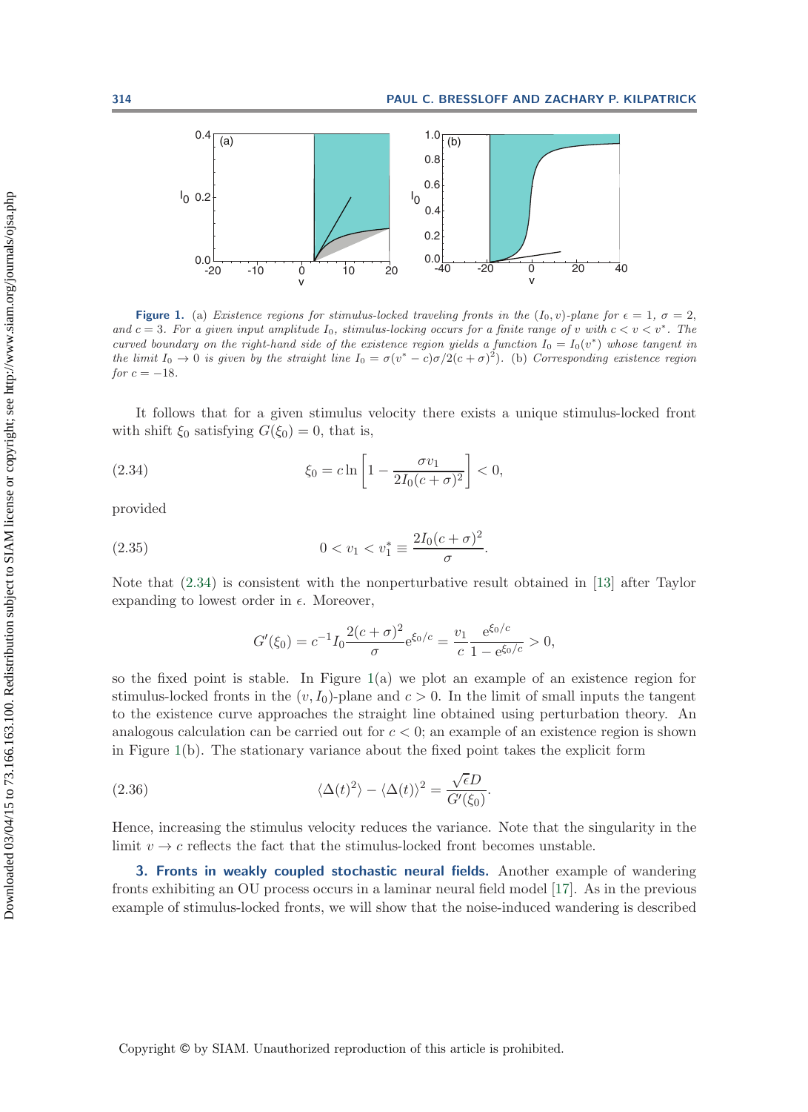

<span id="page-9-2"></span>**Figure 1.** (a) Existence regions for stimulus-locked traveling fronts in the  $(I_0, v)$ -plane for  $\epsilon = 1$ ,  $\sigma = 2$ , and  $c = 3$ . For a given input amplitude  $I_0$ , stimulus-locking occurs for a finite range of v with  $c < v < v^*$ . The curved boundary on the right-hand side of the existence region yields a function  $I_0 = I_0(v^*)$  whose tangent in the limit  $I_0 \to 0$  is given by the straight line  $I_0 = \sigma(v^* - c)\sigma/2(c + \sigma)^2$ . (b) Corresponding existence region for  $c = -18$ .

It follows that for a given stimulus velocity there exists a unique stimulus-locked front with shift  $\xi_0$  satisfying  $G(\xi_0) = 0$ , that is,

(2.34) 
$$
\xi_0 = c \ln \left[ 1 - \frac{\sigma v_1}{2I_0(c + \sigma)^2} \right] < 0,
$$

provided

(2.35) 
$$
0 < v_1 < v_1^* \equiv \frac{2I_0(c+\sigma)^2}{\sigma}.
$$

Note that [\(2.34\)](#page-9-1) is consistent with the nonperturbative result obtained in [\[13\]](#page-28-14) after Taylor expanding to lowest order in  $\epsilon$ . Moreover,

<span id="page-9-1"></span>
$$
G'(\xi_0) = c^{-1} I_0 \frac{2(c+\sigma)^2}{\sigma} e^{\xi_0/c} = \frac{v_1}{c} \frac{e^{\xi_0/c}}{1 - e^{\xi_0/c}} > 0,
$$

so the fixed point is stable. In Figure  $1(a)$  $1(a)$  we plot an example of an existence region for stimulus-locked fronts in the  $(v, I_0)$ -plane and  $c > 0$ . In the limit of small inputs the tangent to the existence curve approaches the straight line obtained using perturbation theory. An analogous calculation can be carried out for  $c < 0$ ; an example of an existence region is shown in Figure [1\(](#page-9-2)b). The stationary variance about the fixed point takes the explicit form

(2.36) 
$$
\langle \Delta(t)^2 \rangle - \langle \Delta(t) \rangle^2 = \frac{\sqrt{\epsilon}D}{G'(\xi_0)}.
$$

Hence, increasing the stimulus velocity reduces the variance. Note that the singularity in the limit  $v \to c$  reflects the fact that the stimulus-locked front becomes unstable.

<span id="page-9-0"></span>**3. Fronts in weakly coupled stochastic neural fields.** Another example of wandering fronts exhibiting an OU process occurs in a laminar neural field model [\[17\]](#page-28-5). As in the previous example of stimulus-locked fronts, we will show that the noise-induced wandering is described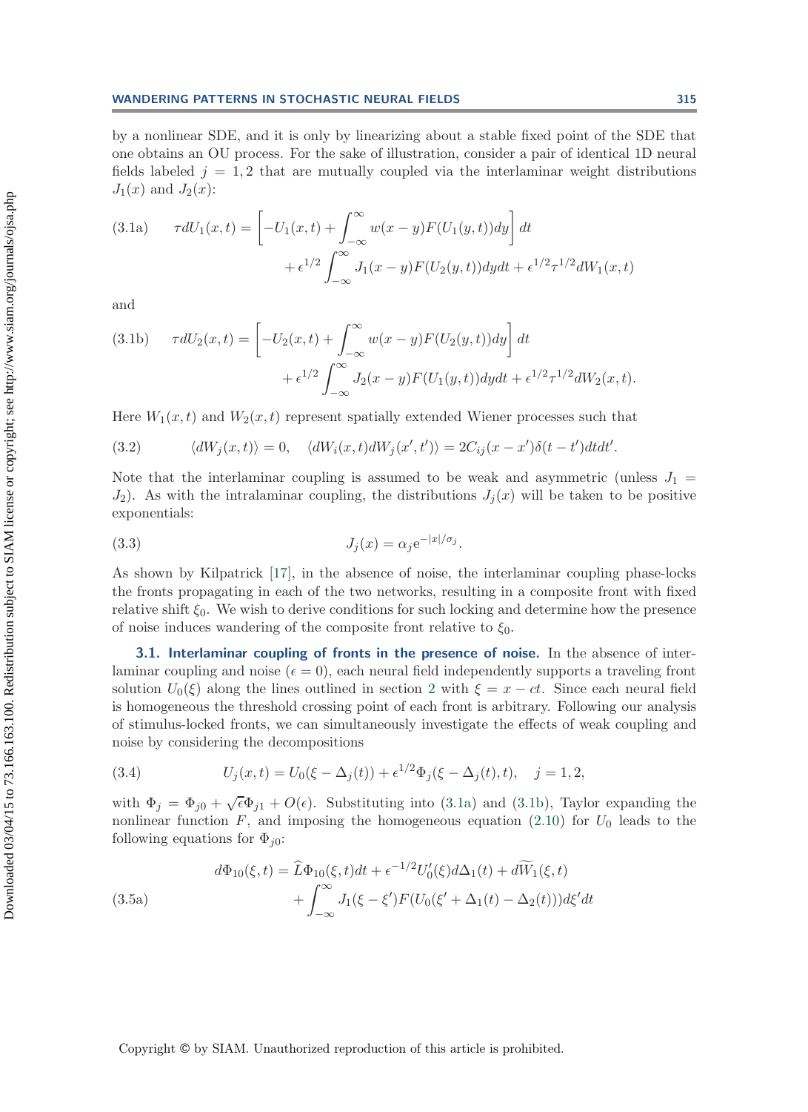by a nonlinear SDE, and it is only by linearizing about a stable fixed point of the SDE that one obtains an OU process. For the sake of illustration, consider a pair of identical 1D neural fields labeled  $j = 1, 2$  that are mutually coupled via the interlaminar weight distributions  $J_1(x)$  and  $J_2(x)$ :

<span id="page-10-0"></span>(3.1a) 
$$
\tau dU_1(x,t) = \left[ -U_1(x,t) + \int_{-\infty}^{\infty} w(x-y) F(U_1(y,t)) dy \right] dt
$$

$$
+ \epsilon^{1/2} \int_{-\infty}^{\infty} J_1(x-y) F(U_2(y,t)) dy dt + \epsilon^{1/2} \tau^{1/2} dW_1(x,t)
$$

and

<span id="page-10-1"></span>(3.1b) 
$$
\tau dU_2(x,t) = \left[ -U_2(x,t) + \int_{-\infty}^{\infty} w(x-y) F(U_2(y,t)) dy \right] dt + \epsilon^{1/2} \int_{-\infty}^{\infty} J_2(x-y) F(U_1(y,t)) dy dt + \epsilon^{1/2} \tau^{1/2} dW_2(x,t).
$$

Here  $W_1(x,t)$  and  $W_2(x,t)$  represent spatially extended Wiener processes such that

(3.2) 
$$
\langle dW_j(x,t) \rangle = 0, \quad \langle dW_i(x,t) dW_j(x',t') \rangle = 2C_{ij}(x-x')\delta(t-t')dtdt'.
$$

Note that the interlaminar coupling is assumed to be weak and asymmetric (unless  $J_1$  =  $J_2$ ). As with the intralaminar coupling, the distributions  $J_i(x)$  will be taken to be positive exponentials:

<span id="page-10-3"></span>(3.3) 
$$
J_j(x) = \alpha_j e^{-|x|/\sigma_j}.
$$

As shown by Kilpatrick [\[17\]](#page-28-5), in the absence of noise, the interlaminar coupling phase-locks the fronts propagating in each of the two networks, resulting in a composite front with fixed relative shift  $\xi_0$ . We wish to derive conditions for such locking and determine how the presence of noise induces wandering of the composite front relative to  $\xi_0$ .

**3.1. Interlaminar coupling of fronts in the presence of noise.** In the absence of interlaminar coupling and noise ( $\epsilon = 0$ ), each neural field independently supports a traveling front solution  $U_0(\xi)$  along the lines outlined in section [2](#page-2-0) with  $\xi = x - ct$ . Since each neural field is homogeneous the threshold crossing point of each front is arbitrary. Following our analysis of stimulus-locked fronts, we can simultaneously investigate the effects of weak coupling and noise by considering the decompositions

(3.4) 
$$
U_j(x,t) = U_0(\xi - \Delta_j(t)) + \epsilon^{1/2} \Phi_j(\xi - \Delta_j(t), t), \quad j = 1, 2,
$$

with  $\Phi_j = \Phi_{j0} + \sqrt{\epsilon} \Phi_{j1} + O(\epsilon)$ . Substituting into [\(3.1a\)](#page-10-0) and [\(3.1b\)](#page-10-1), Taylor expanding the nonlinear function  $F$ , and imposing the homogeneous equation [\(2.10\)](#page-3-4) for  $U_0$  leads to the following equations for  $\Phi_{j0}$ :

<span id="page-10-2"></span>(3.5a)  

$$
d\Phi_{10}(\xi, t) = \hat{L}\Phi_{10}(\xi, t)dt + \epsilon^{-1/2}U'_0(\xi)d\Delta_1(t) + d\widetilde{W}_1(\xi, t) + \int_{-\infty}^{\infty} J_1(\xi - \xi')F(U_0(\xi' + \Delta_1(t) - \Delta_2(t)))d\xi'dt
$$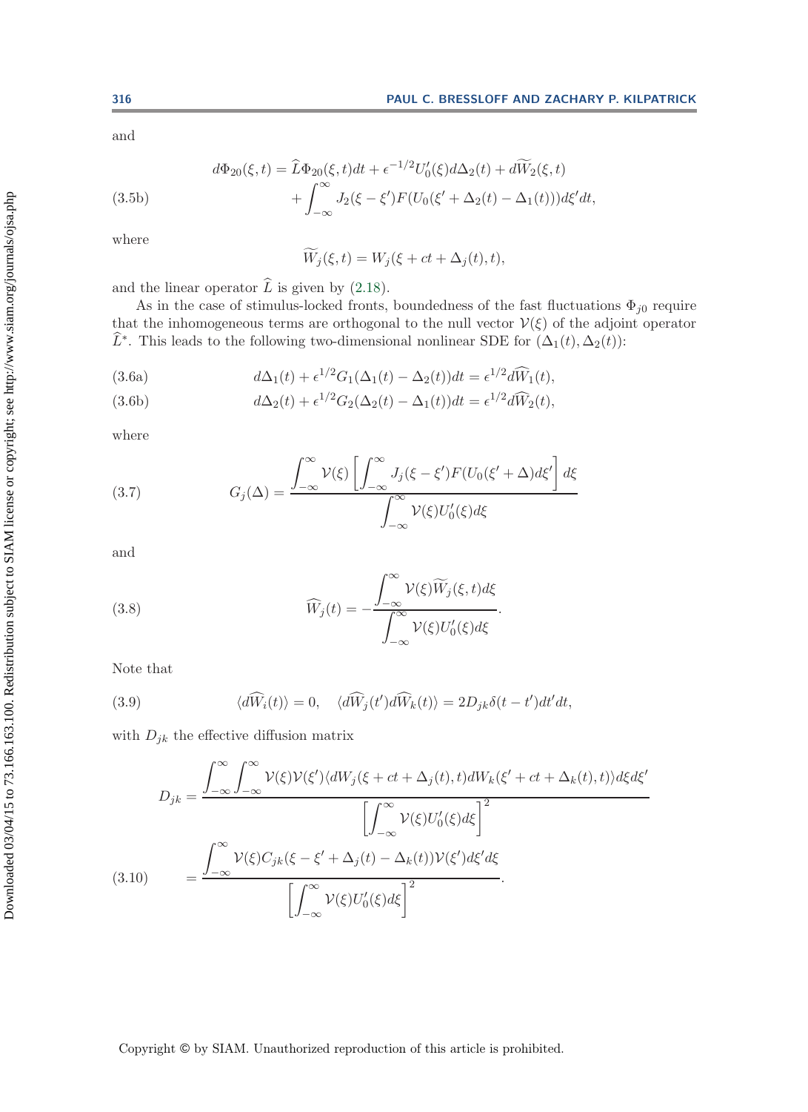and

<span id="page-11-1"></span>(3.5b)  

$$
d\Phi_{20}(\xi, t) = \hat{L}\Phi_{20}(\xi, t)dt + \epsilon^{-1/2}U_0'(\xi)d\Delta_2(t) + d\widetilde{W}_2(\xi, t) + \int_{-\infty}^{\infty} J_2(\xi - \xi')F(U_0(\xi' + \Delta_2(t) - \Delta_1(t)))d\xi'dt,
$$

where

<span id="page-11-0"></span>
$$
\widetilde{W}_j(\xi, t) = W_j(\xi + ct + \Delta_j(t), t),
$$

and the linear operator  $\hat{L}$  is given by [\(2.18\)](#page-6-2).

As in the case of stimulus-locked fronts, boundedness of the fast fluctuations  $\Phi_{j0}$  require that the inhomogeneous terms are orthogonal to the null vector  $V(\xi)$  of the adjoint operator L<sup>\*</sup>. This leads to the following two-dimensional nonlinear SDE for  $(\Delta_1(t), \Delta_2(t))$ :

<span id="page-11-3"></span>(3.6a) 
$$
d\Delta_1(t) + \epsilon^{1/2} G_1(\Delta_1(t) - \Delta_2(t))dt = \epsilon^{1/2} d\widehat{W}_1(t),
$$

<span id="page-11-4"></span>(3.6b) 
$$
d\Delta_2(t) + \epsilon^{1/2} G_2(\Delta_2(t) - \Delta_1(t))dt = \epsilon^{1/2} d\widehat{W}_2(t),
$$

<span id="page-11-2"></span>where

(3.7) 
$$
G_j(\Delta) = \frac{\int_{-\infty}^{\infty} \mathcal{V}(\xi) \left[ \int_{-\infty}^{\infty} J_j(\xi - \xi') F(U_0(\xi' + \Delta) d\xi') \right] d\xi}{\int_{-\infty}^{\infty} \mathcal{V}(\xi) U'_0(\xi) d\xi}
$$

<span id="page-11-5"></span>and

(3.8) 
$$
\widehat{W}_j(t) = -\frac{\int_{-\infty}^{\infty} \mathcal{V}(\xi) \widetilde{W}_j(\xi, t) d\xi}{\int_{-\infty}^{\infty} \mathcal{V}(\xi) U'_0(\xi) d\xi}.
$$

Note that

(3.9) 
$$
\langle d\widehat{W}_i(t)\rangle = 0, \quad \langle d\widehat{W}_j(t')d\widehat{W}_k(t)\rangle = 2D_{jk}\delta(t-t')dt'dt,
$$

with  $D_{jk}$  the effective diffusion matrix

<span id="page-11-6"></span>
$$
D_{jk} = \frac{\int_{-\infty}^{\infty} \int_{-\infty}^{\infty} \mathcal{V}(\xi) \mathcal{V}(\xi') \langle dW_j(\xi + ct + \Delta_j(t), t) dW_k(\xi' + ct + \Delta_k(t), t) \rangle d\xi d\xi'}{\left[\int_{-\infty}^{\infty} \mathcal{V}(\xi) U_0'(\xi) d\xi\right]^2}
$$
\n
$$
(3.10) \qquad = \frac{\int_{-\infty}^{\infty} \mathcal{V}(\xi) C_{jk}(\xi - \xi' + \Delta_j(t) - \Delta_k(t)) \mathcal{V}(\xi') d\xi' d\xi}{\left[\int_{-\infty}^{\infty} \mathcal{V}(\xi) U_0'(\xi) d\xi\right]^2}.
$$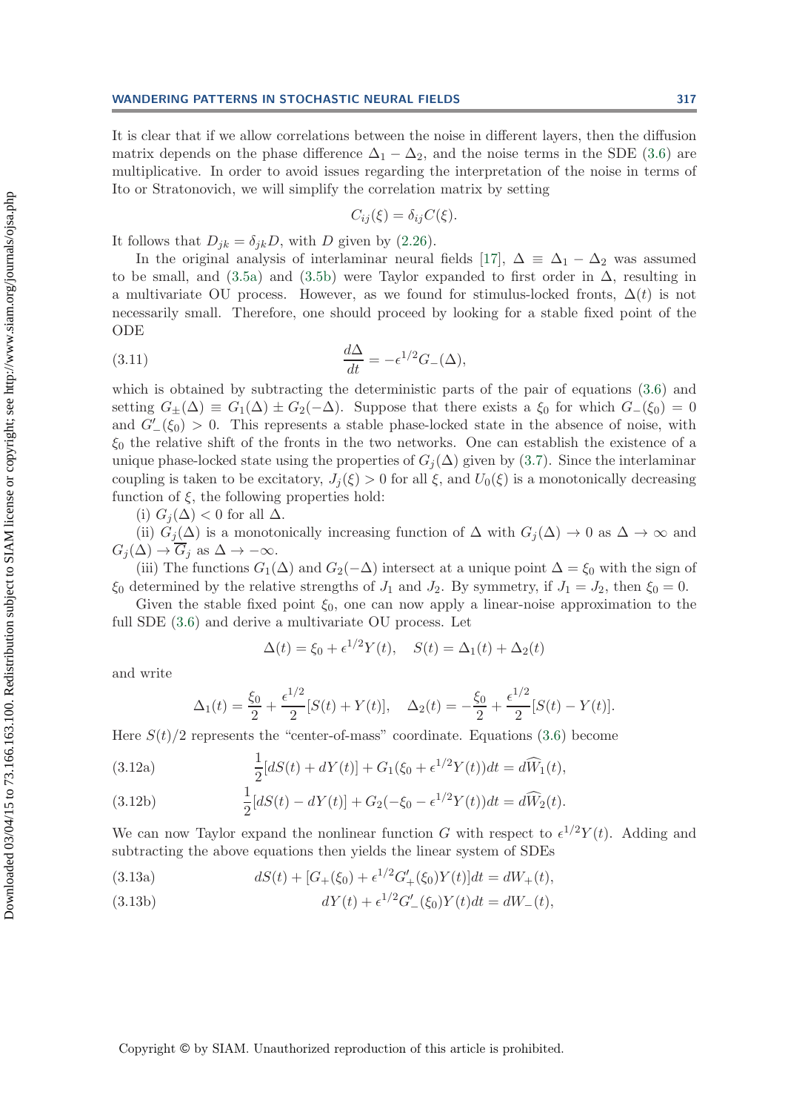It is clear that if we allow correlations between the noise in different layers, then the diffusion matrix depends on the phase difference  $\Delta_1 - \Delta_2$ , and the noise terms in the SDE [\(3.6\)](#page-11-0) are multiplicative. In order to avoid issues regarding the interpretation of the noise in terms of Ito or Stratonovich, we will simplify the correlation matrix by setting

$$
C_{ij}(\xi) = \delta_{ij} C(\xi).
$$

It follows that  $D_{jk} = \delta_{jk}D$ , with D given by [\(2.26\)](#page-7-1).

In the original analysis of interlaminar neural fields [\[17\]](#page-28-5),  $\Delta \equiv \Delta_1 - \Delta_2$  was assumed to be small, and [\(3.5a\)](#page-10-2) and [\(3.5b\)](#page-11-1) were Taylor expanded to first order in  $\Delta$ , resulting in a multivariate OU process. However, as we found for stimulus-locked fronts,  $\Delta(t)$  is not necessarily small. Therefore, one should proceed by looking for a stable fixed point of the ODE

<span id="page-12-1"></span>(3.11) 
$$
\frac{d\Delta}{dt} = -\epsilon^{1/2} G_{-}(\Delta),
$$

which is obtained by subtracting the deterministic parts of the pair of equations [\(3.6\)](#page-11-0) and setting  $G_{\pm}(\Delta) \equiv G_1(\Delta) \pm G_2(-\Delta)$ . Suppose that there exists a  $\xi_0$  for which  $G_{-}(\xi_0)=0$ and  $G'_{-}(\xi_0) > 0$ . This represents a stable phase-locked state in the absence of noise, with  $\xi_0$  the relative shift of the fronts in the two networks. One can establish the existence of a unique phase-locked state using the properties of  $G_i(\Delta)$  given by [\(3.7\)](#page-11-2). Since the interlaminar coupling is taken to be excitatory,  $J_i(\xi) > 0$  for all  $\xi$ , and  $U_0(\xi)$  is a monotonically decreasing function of  $\xi$ , the following properties hold:

(i)  $G_i(\Delta) < 0$  for all  $\Delta$ .

(ii)  $G_j(\Delta)$  is a monotonically increasing function of  $\Delta$  with  $G_j(\Delta) \to 0$  as  $\Delta \to \infty$  and  $G_i(\Delta) \to G_j$  as  $\Delta \to -\infty$ .

(iii) The functions  $G_1(\Delta)$  and  $G_2(-\Delta)$  intersect at a unique point  $\Delta = \xi_0$  with the sign of  $\xi_0$  determined by the relative strengths of  $J_1$  and  $J_2$ . By symmetry, if  $J_1 = J_2$ , then  $\xi_0 = 0$ .

Given the stable fixed point  $\xi_0$ , one can now apply a linear-noise approximation to the full SDE [\(3.6\)](#page-11-0) and derive a multivariate OU process. Let

$$
\Delta(t) = \xi_0 + \epsilon^{1/2} Y(t), \quad S(t) = \Delta_1(t) + \Delta_2(t)
$$

and write

$$
\Delta_1(t) = \frac{\xi_0}{2} + \frac{\epsilon^{1/2}}{2} [S(t) + Y(t)], \quad \Delta_2(t) = -\frac{\xi_0}{2} + \frac{\epsilon^{1/2}}{2} [S(t) - Y(t)].
$$

Here  $S(t)/2$  represents the "center-of-mass" coordinate. Equations [\(3.6\)](#page-11-0) become

(3.12a) 
$$
\frac{1}{2}[dS(t) + dY(t)] + G_1(\xi_0 + \epsilon^{1/2}Y(t))dt = d\widehat{W}_1(t),
$$

(3.12b) 
$$
\frac{1}{2}[dS(t) - dY(t)] + G_2(-\xi_0 - \epsilon^{1/2}Y(t))dt = d\widehat{W}_2(t).
$$

We can now Taylor expand the nonlinear function G with respect to  $\epsilon^{1/2}Y(t)$ . Adding and subtracting the above equations then yields the linear system of SDEs

<span id="page-12-0"></span>(3.13a) 
$$
dS(t) + [G_{+}(\xi_{0}) + \epsilon^{1/2} G'_{+}(\xi_{0}) Y(t)] dt = dW_{+}(t),
$$

(3.13b) 
$$
dY(t) + \epsilon^{1/2} G'_{-}(\xi_0) Y(t) dt = dW_{-}(t),
$$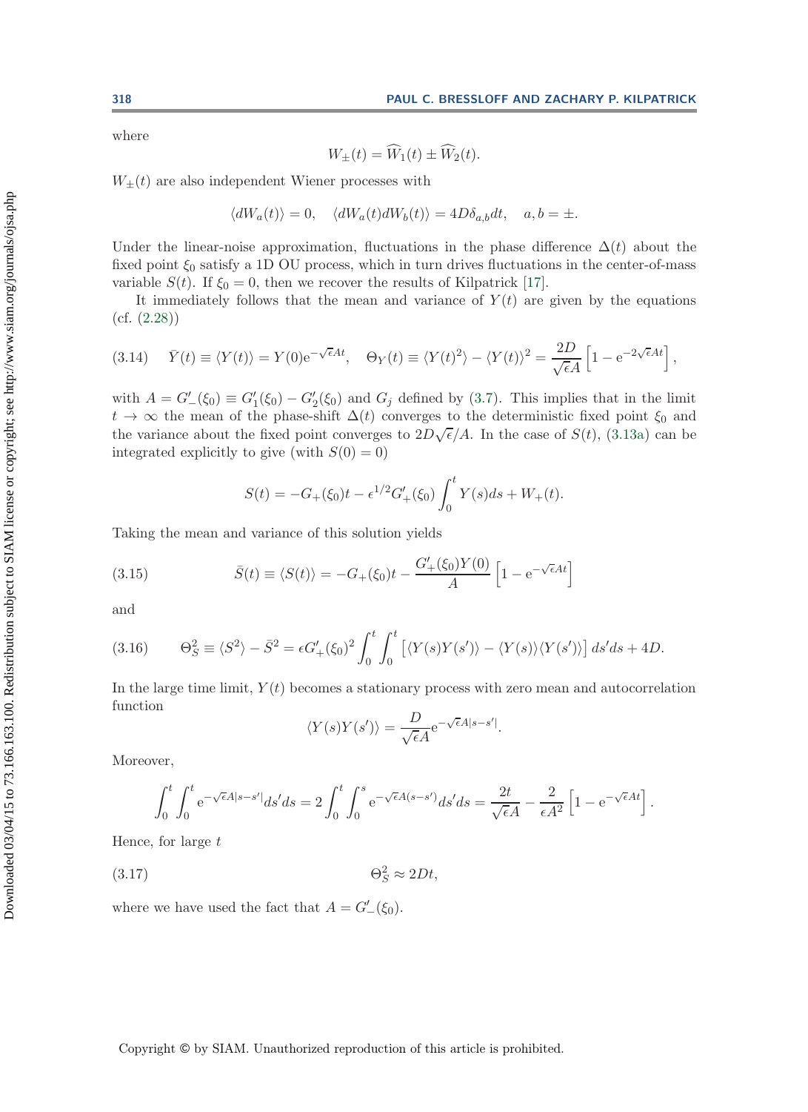where

$$
W_{\pm}(t) = \widehat{W}_1(t) \pm \widehat{W}_2(t).
$$

 $W_+(t)$  are also independent Wiener processes with

$$
\langle dW_a(t)\rangle=0,\quad \langle dW_a(t)dW_b(t)\rangle=4D\delta_{a,b}dt,\quad a,b=\pm.
$$

Under the linear-noise approximation, fluctuations in the phase difference  $\Delta(t)$  about the fixed point  $\xi_0$  satisfy a 1D OU process, which in turn drives fluctuations in the center-of-mass variable  $S(t)$ . If  $\xi_0 = 0$ , then we recover the results of Kilpatrick [\[17\]](#page-28-5).

It immediately follows that the mean and variance of  $Y(t)$  are given by the equations (cf. [\(2.28\)](#page-7-2))

(3.14) 
$$
\overline{Y}(t) \equiv \langle Y(t) \rangle = Y(0) e^{-\sqrt{\epsilon}At}, \quad \Theta_Y(t) \equiv \langle Y(t)^2 \rangle - \langle Y(t) \rangle^2 = \frac{2D}{\sqrt{\epsilon}A} \left[ 1 - e^{-2\sqrt{\epsilon}At} \right],
$$

with  $A = G'_{-}(\xi_0) \equiv G'_{1}(\xi_0) - G'_{2}(\xi_0)$  and  $G_j$  defined by [\(3.7\)](#page-11-2). This implies that in the limit  $t \to \infty$  the mean of the phase-shift  $\Delta(t)$  converges to the deterministic fixed point  $\xi_0$  and the variance about the fixed point converges to  $2D\sqrt{\epsilon}/A$ . In the case of  $S(t)$ , [\(3.13a\)](#page-12-0) can be integrated explicitly to give (with  $S(0) = 0$ )

$$
S(t) = -G_{+}(\xi_{0})t - \epsilon^{1/2}G'_{+}(\xi_{0})\int_{0}^{t} Y(s)ds + W_{+}(t).
$$

Taking the mean and variance of this solution yields

(3.15) 
$$
\bar{S}(t) \equiv \langle S(t) \rangle = -G_+(\xi_0)t - \frac{G'_+(\xi_0)Y(0)}{A} \left[1 - e^{-\sqrt{\epsilon}At}\right]
$$

and

(3.16) 
$$
\Theta_S^2 \equiv \langle S^2 \rangle - \bar{S}^2 = \epsilon G_+^{\prime}(\xi_0)^2 \int_0^t \int_0^t \left[ \langle Y(s)Y(s') \rangle - \langle Y(s) \rangle \langle Y(s') \rangle \right] ds' ds + 4D.
$$

In the large time limit,  $Y(t)$  becomes a stationary process with zero mean and autocorrelation function

$$
\langle Y(s)Y(s')\rangle = \frac{D}{\sqrt{\epsilon}A}e^{-\sqrt{\epsilon}A|s-s'|}
$$

.

Moreover,

$$
\int_0^t \int_0^t e^{-\sqrt{\epsilon}A|s-s'|} ds' ds = 2 \int_0^t \int_0^s e^{-\sqrt{\epsilon}A(s-s')} ds' ds = \frac{2t}{\sqrt{\epsilon}A} - \frac{2}{\epsilon A^2} \left[ 1 - e^{-\sqrt{\epsilon}At} \right].
$$

Hence, for large  $t$ 

$$
\Theta_S^2 \approx 2Dt,
$$

where we have used the fact that  $A = G'_{-}(\xi_0)$ .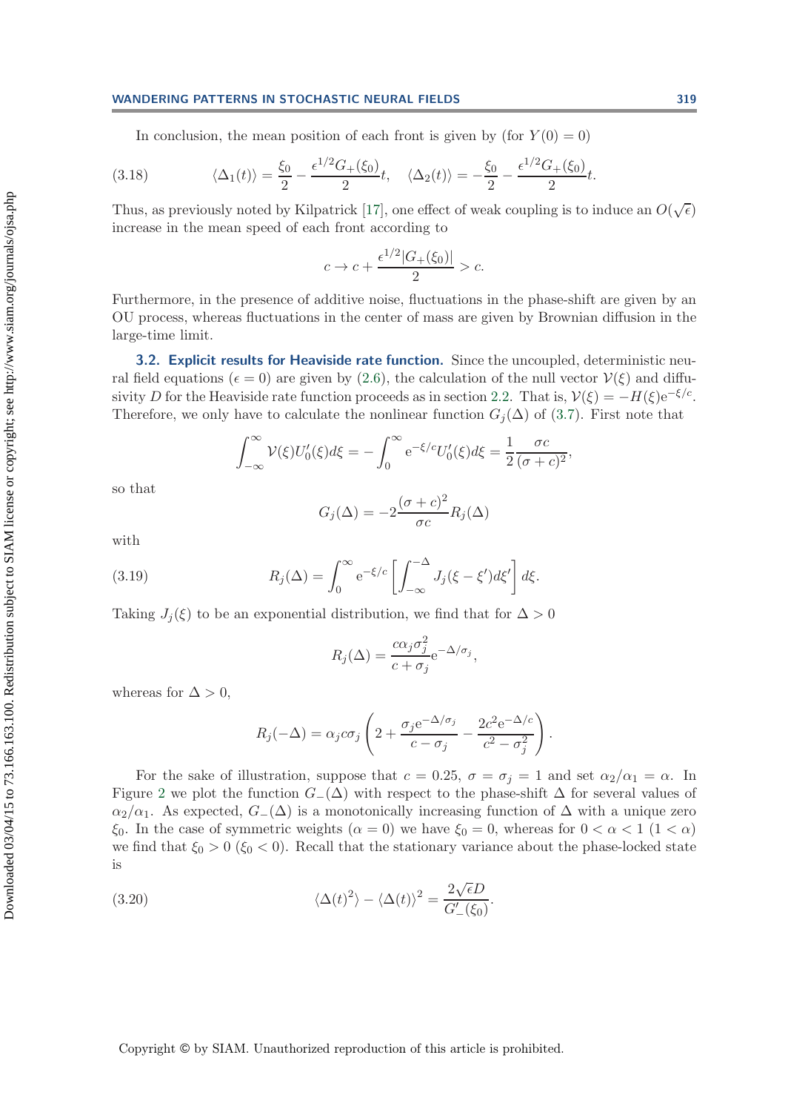### **WANDERING PATTERNS IN STOCHASTIC NEURAL FIELDS 319**

In conclusion, the mean position of each front is given by (for  $Y(0) = 0$ )

(3.18) 
$$
\langle \Delta_1(t) \rangle = \frac{\xi_0}{2} - \frac{\epsilon^{1/2} G_+(\xi_0)}{2} t, \quad \langle \Delta_2(t) \rangle = -\frac{\xi_0}{2} - \frac{\epsilon^{1/2} G_+(\xi_0)}{2} t.
$$

Thus, as previously noted by Kilpatrick [\[17\]](#page-28-5), one effect of weak coupling is to induce an  $O(\sqrt{\epsilon})$ increase in the mean speed of each front according to

$$
c \to c + \frac{\epsilon^{1/2} |G_+(\xi_0)|}{2} > c.
$$

Furthermore, in the presence of additive noise, fluctuations in the phase-shift are given by an OU process, whereas fluctuations in the center of mass are given by Brownian diffusion in the large-time limit.

**3.2. Explicit results for Heaviside rate function.** Since the uncoupled, deterministic neural field equations ( $\epsilon = 0$ ) are given by [\(2.6\)](#page-3-0), the calculation of the null vector  $V(\xi)$  and diffu-sivity D for the Heaviside rate function proceeds as in section [2.2.](#page-8-0) That is,  $\mathcal{V}(\xi) = -H(\xi)e^{-\xi/c}$ . Therefore, we only have to calculate the nonlinear function  $G_i(\Delta)$  of [\(3.7\)](#page-11-2). First note that

$$
\int_{-\infty}^{\infty} \mathcal{V}(\xi) U_0'(\xi) d\xi = -\int_0^{\infty} e^{-\xi/c} U_0'(\xi) d\xi = \frac{1}{2} \frac{\sigma c}{(\sigma + c)^2},
$$

so that

$$
G_j(\Delta) = -2\frac{(\sigma + c)^2}{\sigma c}R_j(\Delta)
$$

with

(3.19) 
$$
R_j(\Delta) = \int_0^\infty e^{-\xi/c} \left[ \int_{-\infty}^{-\Delta} J_j(\xi - \xi') d\xi' \right] d\xi.
$$

Taking  $J_i(\xi)$  to be an exponential distribution, we find that for  $\Delta > 0$ 

$$
R_j(\Delta) = \frac{c\alpha_j \sigma_j^2}{c + \sigma_j} e^{-\Delta/\sigma_j},
$$

whereas for  $\Delta > 0$ ,

$$
R_j(-\Delta) = \alpha_j c \sigma_j \left( 2 + \frac{\sigma_j e^{-\Delta/\sigma_j}}{c - \sigma_j} - \frac{2c^2 e^{-\Delta/c}}{c^2 - \sigma_j^2} \right)
$$

.

For the sake of illustration, suppose that  $c = 0.25$ ,  $\sigma = \sigma_j = 1$  and set  $\alpha_2/\alpha_1 = \alpha$ . In Figure [2](#page-15-1) we plot the function  $G_-(\Delta)$  with respect to the phase-shift  $\Delta$  for several values of  $\alpha_2/\alpha_1$ . As expected,  $G_-(\Delta)$  is a monotonically increasing function of  $\Delta$  with a unique zero  $\xi_0$ . In the case of symmetric weights  $(\alpha = 0)$  we have  $\xi_0 = 0$ , whereas for  $0 < \alpha < 1$   $(1 < \alpha)$ we find that  $\xi_0 > 0$  ( $\xi_0 < 0$ ). Recall that the stationary variance about the phase-locked state is

(3.20) 
$$
\langle \Delta(t)^2 \rangle - \langle \Delta(t) \rangle^2 = \frac{2\sqrt{\epsilon D}}{G'_{-}(\xi_0)}.
$$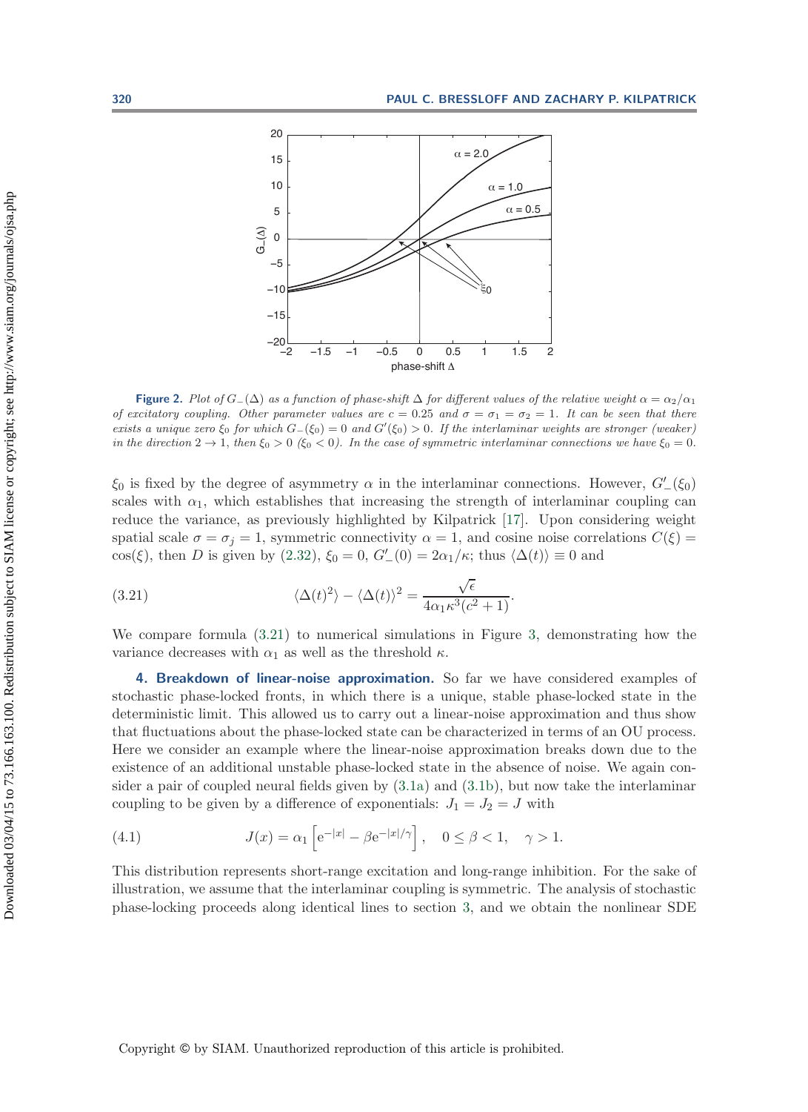

<span id="page-15-1"></span>**Figure 2.** Plot of  $G_-(\Delta)$  as a function of phase-shift  $\Delta$  for different values of the relative weight  $\alpha = \alpha_2/\alpha_1$ of excitatory coupling. Other parameter values are  $c = 0.25$  and  $\sigma = \sigma_1 = \sigma_2 = 1$ . It can be seen that there exists a unique zero  $\xi_0$  for which  $G_-(\xi_0)=0$  and  $G'(\xi_0)>0$ . If the interlaminar weights are stronger (weaker) in the direction  $2 \to 1$ , then  $\xi_0 > 0$  ( $\xi_0 < 0$ ). In the case of symmetric interlaminar connections we have  $\xi_0 = 0$ .

 $\xi_0$  is fixed by the degree of asymmetry  $\alpha$  in the interlaminar connections. However,  $G'_{-}(\xi_0)$ scales with  $\alpha_1$ , which establishes that increasing the strength of interlaminar coupling can reduce the variance, as previously highlighted by Kilpatrick [\[17\]](#page-28-5). Upon considering weight spatial scale  $\sigma = \sigma_j = 1$ , symmetric connectivity  $\alpha = 1$ , and cosine noise correlations  $C(\xi)$ cos( $\xi$ ), then D is given by [\(2.32\)](#page-8-1),  $\xi_0 = 0$ ,  $G'_{-}(0) = 2\alpha_1/\kappa$ ; thus  $\langle \Delta(t) \rangle \equiv 0$  and

<span id="page-15-2"></span>(3.21) 
$$
\langle \Delta(t)^2 \rangle - \langle \Delta(t) \rangle^2 = \frac{\sqrt{\epsilon}}{4\alpha_1 \kappa^3 (c^2 + 1)}.
$$

We compare formula [\(3.21\)](#page-15-2) to numerical simulations in Figure [3,](#page-16-0) demonstrating how the variance decreases with  $\alpha_1$  as well as the threshold  $\kappa$ .

<span id="page-15-0"></span>**4. Breakdown of linear-noise approximation.** So far we have considered examples of stochastic phase-locked fronts, in which there is a unique, stable phase-locked state in the deterministic limit. This allowed us to carry out a linear-noise approximation and thus show that fluctuations about the phase-locked state can be characterized in terms of an OU process. Here we consider an example where the linear-noise approximation breaks down due to the existence of an additional unstable phase-locked state in the absence of noise. We again consider a pair of coupled neural fields given by [\(3.1a\)](#page-10-0) and [\(3.1b\)](#page-10-1), but now take the interlaminar coupling to be given by a difference of exponentials:  $J_1 = J_2 = J$  with

<span id="page-15-3"></span>(4.1) 
$$
J(x) = \alpha_1 \left[ e^{-|x|} - \beta e^{-|x|/\gamma} \right], \quad 0 \le \beta < 1, \quad \gamma > 1.
$$

This distribution represents short-range excitation and long-range inhibition. For the sake of illustration, we assume that the interlaminar coupling is symmetric. The analysis of stochastic phase-locking proceeds along identical lines to section [3,](#page-9-0) and we obtain the nonlinear SDE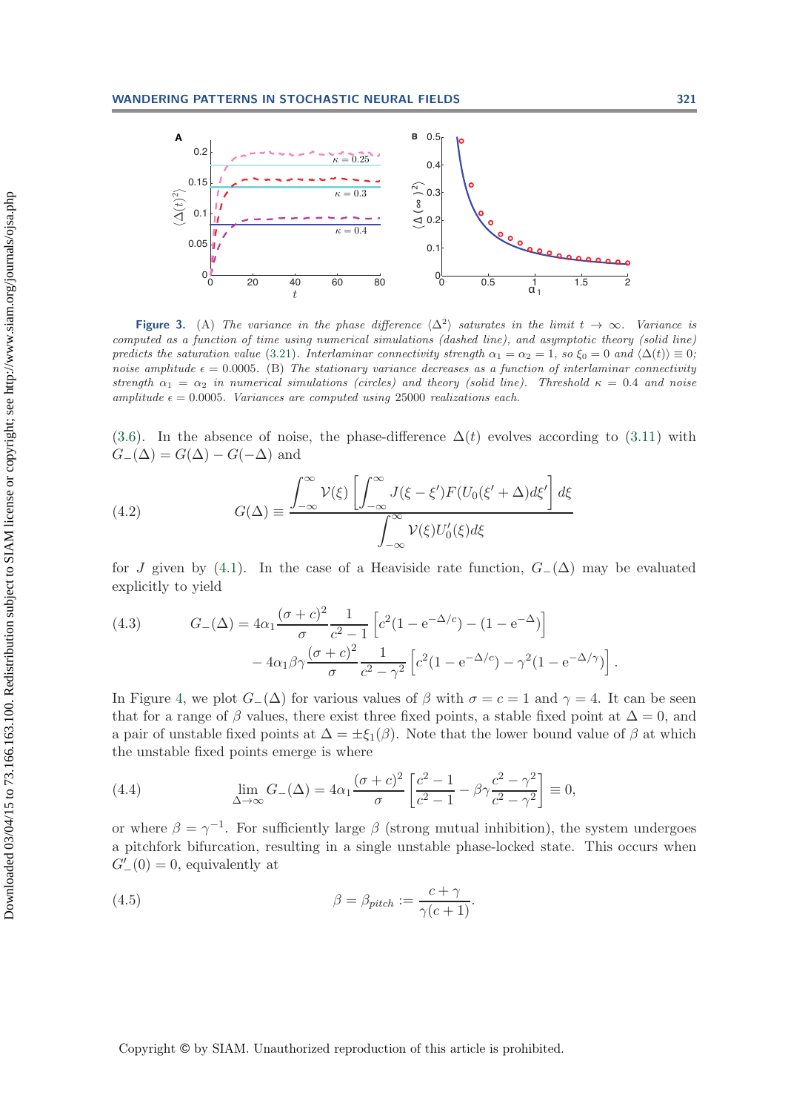

<span id="page-16-0"></span>**Figure 3.** (A) The variance in the phase difference  $\langle \Delta^2 \rangle$  saturates in the limit  $t \to \infty$ . Variance is computed as a function of time using numerical simulations (dashed line), and asymptotic theory (solid line) predicts the saturation value [\(3.21\)](#page-15-2). Interlaminar connectivity strength  $\alpha_1 = \alpha_2 = 1$ , so  $\xi_0 = 0$  and  $\langle \Delta(t) \rangle \equiv 0$ ; noise amplitude  $\epsilon = 0.0005$ . (B) The stationary variance decreases as a function of interlaminar connectivity strength  $\alpha_1 = \alpha_2$  in numerical simulations (circles) and theory (solid line). Threshold  $\kappa = 0.4$  and noise amplitude  $\epsilon = 0.0005$ . Variances are computed using 25000 realizations each.

[\(3.6\)](#page-11-0). In the absence of noise, the phase-difference  $\Delta(t)$  evolves according to [\(3.11\)](#page-12-1) with  $G_{-}(\Delta) = G(\Delta) - G(-\Delta)$  and

(4.2) 
$$
G(\Delta) = \frac{\int_{-\infty}^{\infty} V(\xi) \left[ \int_{-\infty}^{\infty} J(\xi - \xi') F(U_0(\xi' + \Delta) d\xi') \right] d\xi}{\int_{-\infty}^{\infty} V(\xi) U'_0(\xi) d\xi}
$$

for J given by [\(4.1\)](#page-15-3). In the case of a Heaviside rate function,  $G_-(\Delta)$  may be evaluated explicitly to yield

(4.3) 
$$
G_{-}(\Delta) = 4\alpha_1 \frac{(\sigma + c)^2}{\sigma} \frac{1}{c^2 - 1} \left[ c^2 (1 - e^{-\Delta/c}) - (1 - e^{-\Delta}) \right] - 4\alpha_1 \beta \gamma \frac{(\sigma + c)^2}{\sigma} \frac{1}{c^2 - \gamma^2} \left[ c^2 (1 - e^{-\Delta/c}) - \gamma^2 (1 - e^{-\Delta/\gamma}) \right].
$$

In Figure [4,](#page-17-0) we plot  $G_-(\Delta)$  for various values of  $\beta$  with  $\sigma = c = 1$  and  $\gamma = 4$ . It can be seen that for a range of  $\beta$  values, there exist three fixed points, a stable fixed point at  $\Delta = 0$ , and a pair of unstable fixed points at  $\Delta = \pm \xi_1(\beta)$ . Note that the lower bound value of  $\beta$  at which the unstable fixed points emerge is where

(4.4) 
$$
\lim_{\Delta \to \infty} G_{-}(\Delta) = 4\alpha_1 \frac{(\sigma + c)^2}{\sigma} \left[ \frac{c^2 - 1}{c^2 - 1} - \beta \gamma \frac{c^2 - \gamma^2}{c^2 - \gamma^2} \right] \equiv 0,
$$

or where  $\beta = \gamma^{-1}$ . For sufficiently large  $\beta$  (strong mutual inhibition), the system undergoes a pitchfork bifurcation, resulting in a single unstable phase-locked state. This occurs when  $G'_{-}(0) = 0$ , equivalently at

(4.5) 
$$
\beta = \beta_{pitch} := \frac{c + \gamma}{\gamma(c + 1)}.
$$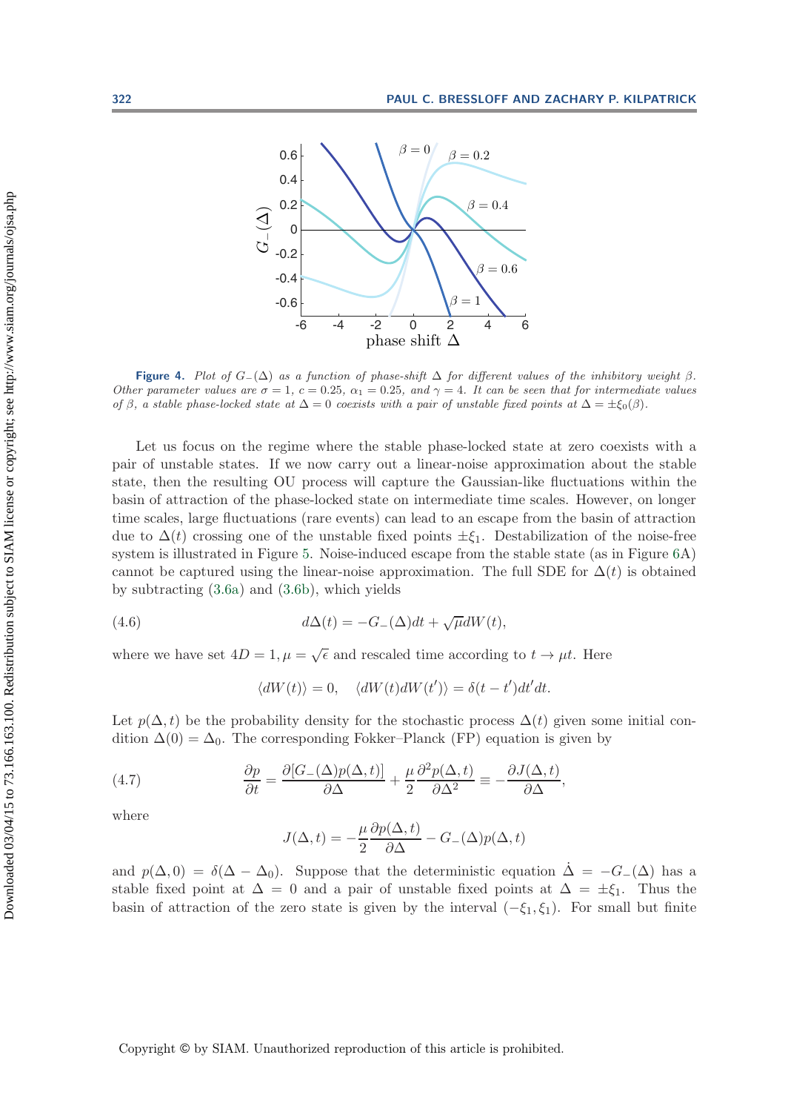

<span id="page-17-0"></span>**Figure 4.** Plot of  $G-(\Delta)$  as a function of phase-shift  $\Delta$  for different values of the inhibitory weight  $\beta$ . Other parameter values are  $\sigma = 1$ ,  $c = 0.25$ ,  $\alpha_1 = 0.25$ , and  $\gamma = 4$ . It can be seen that for intermediate values of β, a stable phase-locked state at  $\Delta = 0$  coexists with a pair of unstable fixed points at  $\Delta = \pm \xi_0(\beta)$ .

Let us focus on the regime where the stable phase-locked state at zero coexists with a pair of unstable states. If we now carry out a linear-noise approximation about the stable state, then the resulting OU process will capture the Gaussian-like fluctuations within the basin of attraction of the phase-locked state on intermediate time scales. However, on longer time scales, large fluctuations (rare events) can lead to an escape from the basin of attraction due to  $\Delta(t)$  crossing one of the unstable fixed points  $\pm \xi_1$ . Destabilization of the noise-free system is illustrated in Figure [5.](#page-18-0) Noise-induced escape from the stable state (as in Figure [6A](#page-20-0)) cannot be captured using the linear-noise approximation. The full SDE for  $\Delta(t)$  is obtained by subtracting [\(3.6a\)](#page-11-3) and [\(3.6b\)](#page-11-4), which yields

(4.6) 
$$
d\Delta(t) = -G_{-}(\Delta)dt + \sqrt{\mu}dW(t),
$$

where we have set  $4D = 1, \mu = \sqrt{\epsilon}$  and rescaled time according to  $t \to \mu t$ . Here

<span id="page-17-2"></span>
$$
\langle dW(t) \rangle = 0, \quad \langle dW(t) dW(t') \rangle = \delta(t - t') dt' dt.
$$

Let  $p(\Delta, t)$  be the probability density for the stochastic process  $\Delta(t)$  given some initial condition  $\Delta(0) = \Delta_0$ . The corresponding Fokker–Planck (FP) equation is given by

(4.7) 
$$
\frac{\partial p}{\partial t} = \frac{\partial [G_{-}(\Delta)p(\Delta,t)]}{\partial \Delta} + \frac{\mu}{2} \frac{\partial^2 p(\Delta,t)}{\partial \Delta^2} \equiv -\frac{\partial J(\Delta,t)}{\partial \Delta},
$$

where

<span id="page-17-1"></span>
$$
J(\Delta,t)=-\frac{\mu}{2}\frac{\partial p(\Delta,t)}{\partial \Delta}-G_{-}(\Delta)p(\Delta,t)
$$

and  $p(\Delta, 0) = \delta(\Delta - \Delta_0)$ . Suppose that the deterministic equation  $\Delta = -G_-(\Delta)$  has a stable fixed point at  $\Delta = 0$  and a pair of unstable fixed points at  $\Delta = \pm \xi_1$ . Thus the basin of attraction of the zero state is given by the interval  $(-\xi_1, \xi_1)$ . For small but finite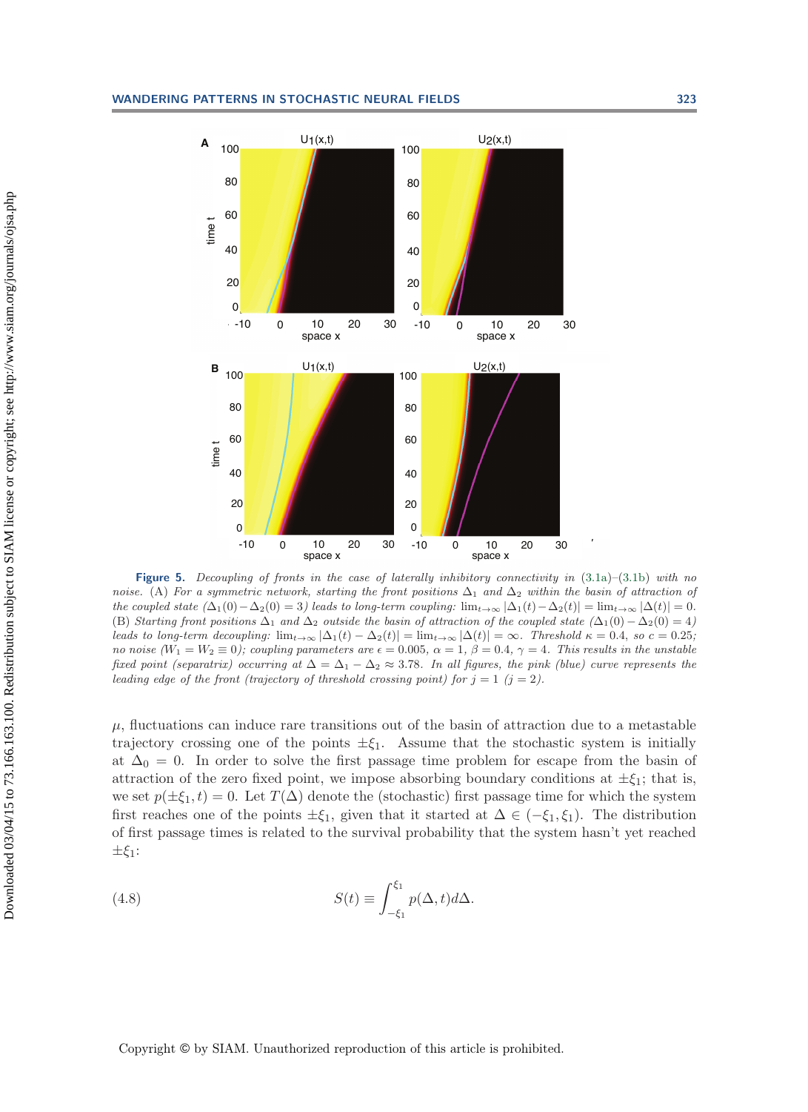

<span id="page-18-0"></span>**Figure 5.** Decoupling of fronts in the case of laterally inhibitory connectivity in  $(3.1a)$ – $(3.1b)$  with no noise. (A) For a symmetric network, starting the front positions  $\Delta_1$  and  $\Delta_2$  within the basin of attraction of the coupled state  $(\Delta_1(0) - \Delta_2(0) = 3)$  leads to long-term coupling:  $\lim_{t\to\infty} |\Delta_1(t) - \Delta_2(t)| = \lim_{t\to\infty} |\Delta(t)| = 0$ . (B) Starting front positions  $\Delta_1$  and  $\Delta_2$  outside the basin of attraction of the coupled state  $(\Delta_1(0) - \Delta_2(0) = 4)$ leads to long-term decoupling:  $\lim_{t\to\infty} |\Delta_1(t) - \Delta_2(t)| = \lim_{t\to\infty} |\Delta(t)| = \infty$ . Threshold  $\kappa = 0.4$ , so  $c = 0.25$ ; no noise  $(W_1 = W_2 \equiv 0)$ ; coupling parameters are  $\epsilon = 0.005$ ,  $\alpha = 1$ ,  $\beta = 0.4$ ,  $\gamma = 4$ . This results in the unstable fixed point (separatrix) occurring at  $\Delta = \Delta_1 - \Delta_2 \approx 3.78$ . In all figures, the pink (blue) curve represents the leading edge of the front (trajectory of threshold crossing point) for  $j = 1$   $(j = 2)$ .

 $\mu$ , fluctuations can induce rare transitions out of the basin of attraction due to a metastable trajectory crossing one of the points  $\pm \xi_1$ . Assume that the stochastic system is initially at  $\Delta_0 = 0$ . In order to solve the first passage time problem for escape from the basin of attraction of the zero fixed point, we impose absorbing boundary conditions at  $\pm \xi_1$ ; that is, we set  $p(\pm \xi_1, t) = 0$ . Let  $T(\Delta)$  denote the (stochastic) first passage time for which the system first reaches one of the points  $\pm \xi_1$ , given that it started at  $\Delta \in (-\xi_1, \xi_1)$ . The distribution of first passage times is related to the survival probability that the system hasn't yet reached  $\pm \xi_1$ :

(4.8) 
$$
S(t) \equiv \int_{-\xi_1}^{\xi_1} p(\Delta, t) d\Delta.
$$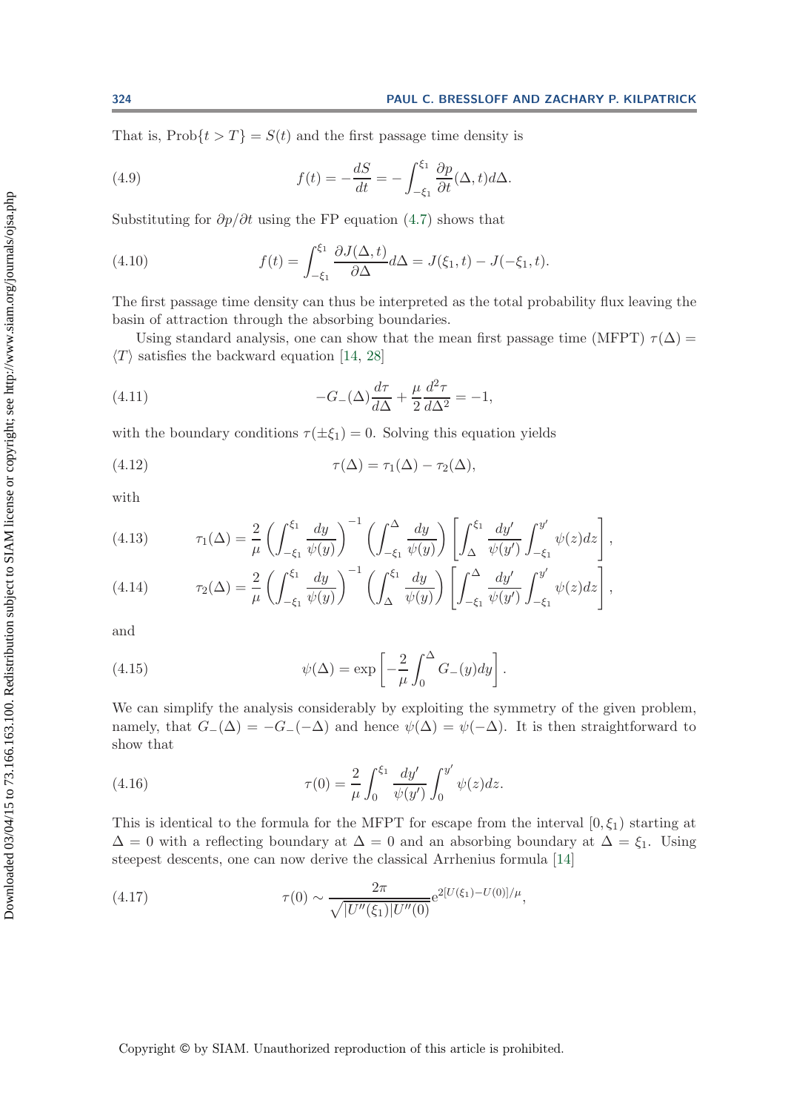That is,  $Prob(t > T) = S(t)$  and the first passage time density is

(4.9) 
$$
f(t) = -\frac{dS}{dt} = -\int_{-\xi_1}^{\xi_1} \frac{\partial p}{\partial t}(\Delta, t) d\Delta.
$$

Substituting for  $\partial p/\partial t$  using the FP equation [\(4.7\)](#page-17-1) shows that

(4.10) 
$$
f(t) = \int_{-\xi_1}^{\xi_1} \frac{\partial J(\Delta, t)}{\partial \Delta} d\Delta = J(\xi_1, t) - J(-\xi_1, t).
$$

The first passage time density can thus be interpreted as the total probability flux leaving the basin of attraction through the absorbing boundaries.

Using standard analysis, one can show that the mean first passage time (MFPT)  $\tau(\Delta)$  =  $\langle T \rangle$  satisfies the backward equation [\[14,](#page-28-17) [28\]](#page-29-3)

(4.11) 
$$
-G_{-}(\Delta)\frac{d\tau}{d\Delta} + \frac{\mu}{2}\frac{d^2\tau}{d\Delta^2} = -1,
$$

with the boundary conditions  $\tau(\pm \xi_1) = 0$ . Solving this equation yields

(4.12) 
$$
\tau(\Delta) = \tau_1(\Delta) - \tau_2(\Delta),
$$

with

(4.13) 
$$
\tau_1(\Delta) = \frac{2}{\mu} \left( \int_{-\xi_1}^{\xi_1} \frac{dy}{\psi(y)} \right)^{-1} \left( \int_{-\xi_1}^{\Delta} \frac{dy}{\psi(y)} \right) \left[ \int_{\Delta}^{\xi_1} \frac{dy'}{\psi(y')} \int_{-\xi_1}^{y'} \psi(z) dz \right],
$$

(4.14) 
$$
\tau_2(\Delta) = \frac{2}{\mu} \left( \int_{-\xi_1}^{\xi_1} \frac{dy}{\psi(y)} \right)^{-1} \left( \int_{\Delta}^{\xi_1} \frac{dy}{\psi(y)} \right) \left[ \int_{-\xi_1}^{\Delta} \frac{dy'}{\psi(y')} \int_{-\xi_1}^{y'} \psi(z) dz \right],
$$

and

(4.15) 
$$
\psi(\Delta) = \exp \left[ -\frac{2}{\mu} \int_0^{\Delta} G_-(y) dy \right].
$$

We can simplify the analysis considerably by exploiting the symmetry of the given problem, namely, that  $G_-(\Delta) = -G_-(-\Delta)$  and hence  $\psi(\Delta) = \psi(-\Delta)$ . It is then straightforward to show that

<span id="page-19-0"></span>(4.16) 
$$
\tau(0) = \frac{2}{\mu} \int_0^{\xi_1} \frac{dy'}{\psi(y')} \int_0^{y'} \psi(z) dz.
$$

This is identical to the formula for the MFPT for escape from the interval  $[0, \xi_1)$  starting at  $\Delta = 0$  with a reflecting boundary at  $\Delta = 0$  and an absorbing boundary at  $\Delta = \xi_1$ . Using steepest descents, one can now derive the classical Arrhenius formula [\[14\]](#page-28-17)

(4.17) 
$$
\tau(0) \sim \frac{2\pi}{\sqrt{|U''(\xi_1)|U''(0)}} e^{2[U(\xi_1)-U(0)]/\mu},
$$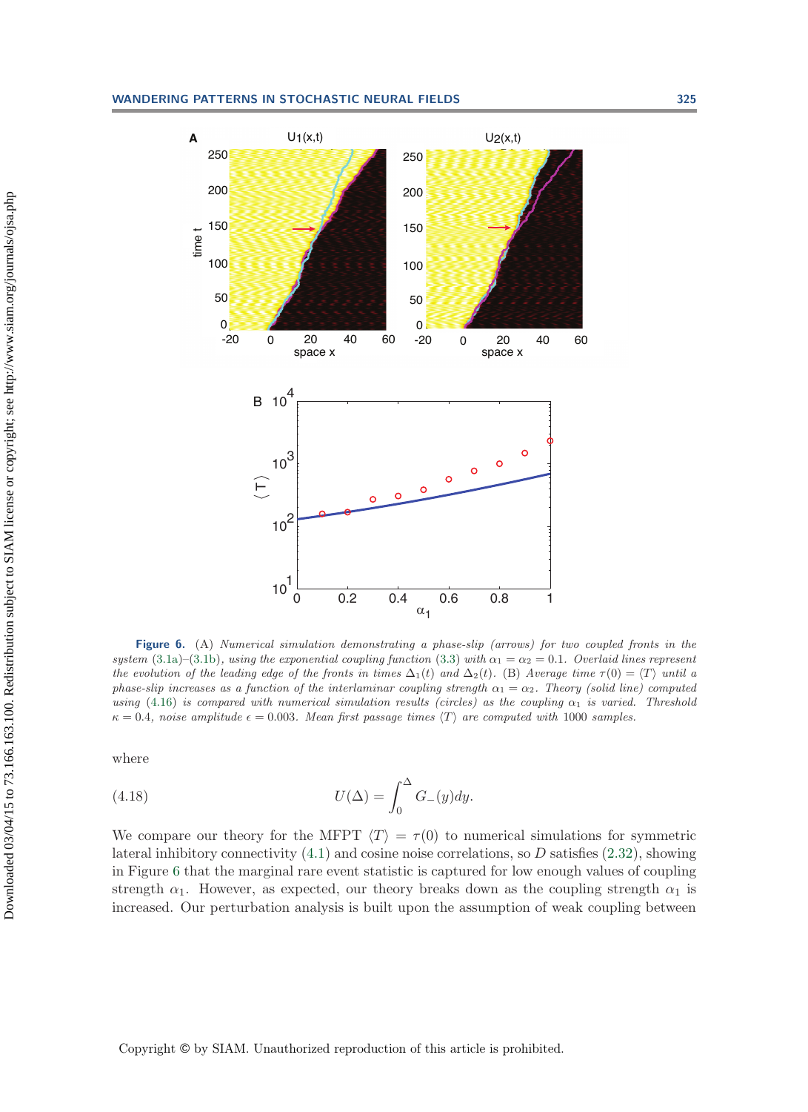## **WANDERING PATTERNS IN STOCHASTIC NEURAL FIELDS 325**



<span id="page-20-0"></span>**Figure 6.** (A) Numerical simulation demonstrating a phase-slip (arrows) for two coupled fronts in the system [\(3.1a\)](#page-10-0)–[\(3.1b\)](#page-10-1), using the exponential coupling function [\(3.3\)](#page-10-3) with  $\alpha_1 = \alpha_2 = 0.1$ . Overlaid lines represent the evolution of the leading edge of the fronts in times  $\Delta_1(t)$  and  $\Delta_2(t)$ . (B) Average time  $\tau(0) = \langle T \rangle$  until a phase-slip increases as a function of the interlaminar coupling strength  $\alpha_1 = \alpha_2$ . Theory (solid line) computed using [\(4.16\)](#page-19-0) is compared with numerical simulation results (circles) as the coupling  $\alpha_1$  is varied. Threshold  $\kappa = 0.4$ , noise amplitude  $\epsilon = 0.003$ . Mean first passage times  $\langle T \rangle$  are computed with 1000 samples.

where

(4.18) 
$$
U(\Delta) = \int_0^{\Delta} G_-(y) dy.
$$

We compare our theory for the MFPT  $\langle T \rangle = \tau(0)$  to numerical simulations for symmetric lateral inhibitory connectivity  $(4.1)$  and cosine noise correlations, so D satisfies  $(2.32)$ , showing in Figure [6](#page-20-0) that the marginal rare event statistic is captured for low enough values of coupling strength  $\alpha_1$ . However, as expected, our theory breaks down as the coupling strength  $\alpha_1$  is increased. Our perturbation analysis is built upon the assumption of weak coupling between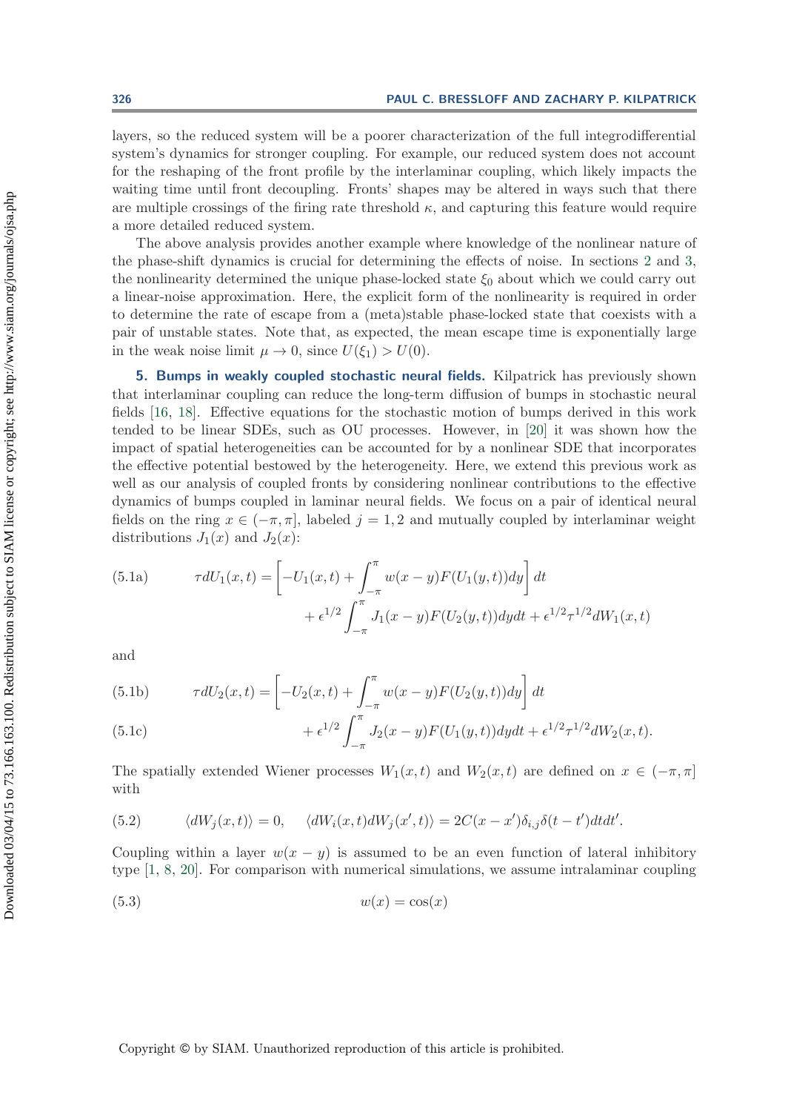layers, so the reduced system will be a poorer characterization of the full integrodifferential system's dynamics for stronger coupling. For example, our reduced system does not account for the reshaping of the front profile by the interlaminar coupling, which likely impacts the waiting time until front decoupling. Fronts' shapes may be altered in ways such that there are multiple crossings of the firing rate threshold  $\kappa$ , and capturing this feature would require a more detailed reduced system.

The above analysis provides another example where knowledge of the nonlinear nature of the phase-shift dynamics is crucial for determining the effects of noise. In sections [2](#page-2-0) and [3,](#page-9-0) the nonlinearity determined the unique phase-locked state  $\xi_0$  about which we could carry out a linear-noise approximation. Here, the explicit form of the nonlinearity is required in order to determine the rate of escape from a (meta)stable phase-locked state that coexists with a pair of unstable states. Note that, as expected, the mean escape time is exponentially large in the weak noise limit  $\mu \to 0$ , since  $U(\xi_1) > U(0)$ .

<span id="page-21-0"></span>**5. Bumps in weakly coupled stochastic neural fields.** Kilpatrick has previously shown that interlaminar coupling can reduce the long-term diffusion of bumps in stochastic neural fields [\[16,](#page-28-4) [18\]](#page-28-19). Effective equations for the stochastic motion of bumps derived in this work tended to be linear SDEs, such as OU processes. However, in [\[20\]](#page-28-2) it was shown how the impact of spatial heterogeneities can be accounted for by a nonlinear SDE that incorporates the effective potential bestowed by the heterogeneity. Here, we extend this previous work as well as our analysis of coupled fronts by considering nonlinear contributions to the effective dynamics of bumps coupled in laminar neural fields. We focus on a pair of identical neural fields on the ring  $x \in (-\pi, \pi]$ , labeled  $j = 1, 2$  and mutually coupled by interlaminar weight distributions  $J_1(x)$  and  $J_2(x)$ :

<span id="page-21-2"></span>(5.1a) 
$$
\tau dU_1(x,t) = \left[ -U_1(x,t) + \int_{-\pi}^{\pi} w(x-y) F(U_1(y,t)) dy \right] dt + \epsilon^{1/2} \int_{-\pi}^{\pi} J_1(x-y) F(U_2(y,t)) dy dt + \epsilon^{1/2} \tau^{1/2} dW_1(x,t)
$$

and

<span id="page-21-3"></span>(5.1b) 
$$
\tau dU_2(x,t) = \left[ -U_2(x,t) + \int_{-\pi}^{\pi} w(x-y) F(U_2(y,t)) dy \right] dt
$$

(5.1c) 
$$
+ \epsilon^{1/2} \int_{-\pi}^{\pi} J_2(x-y) F(U_1(y,t)) dy dt + \epsilon^{1/2} \tau^{1/2} dW_2(x,t).
$$

The spatially extended Wiener processes  $W_1(x,t)$  and  $W_2(x,t)$  are defined on  $x \in (-\pi, \pi]$ with

(5.2) 
$$
\langle dW_j(x,t) \rangle = 0, \quad \langle dW_i(x,t) dW_j(x',t) \rangle = 2C(x-x')\delta_{i,j}\delta(t-t')dtdt'.
$$

Coupling within a layer  $w(x - y)$  is assumed to be an even function of lateral inhibitory type [\[1,](#page-28-11) [8,](#page-28-13) [20\]](#page-28-2). For comparison with numerical simulations, we assume intralaminar coupling

<span id="page-21-1"></span>
$$
(5.3) \t\t w(x) = \cos(x)
$$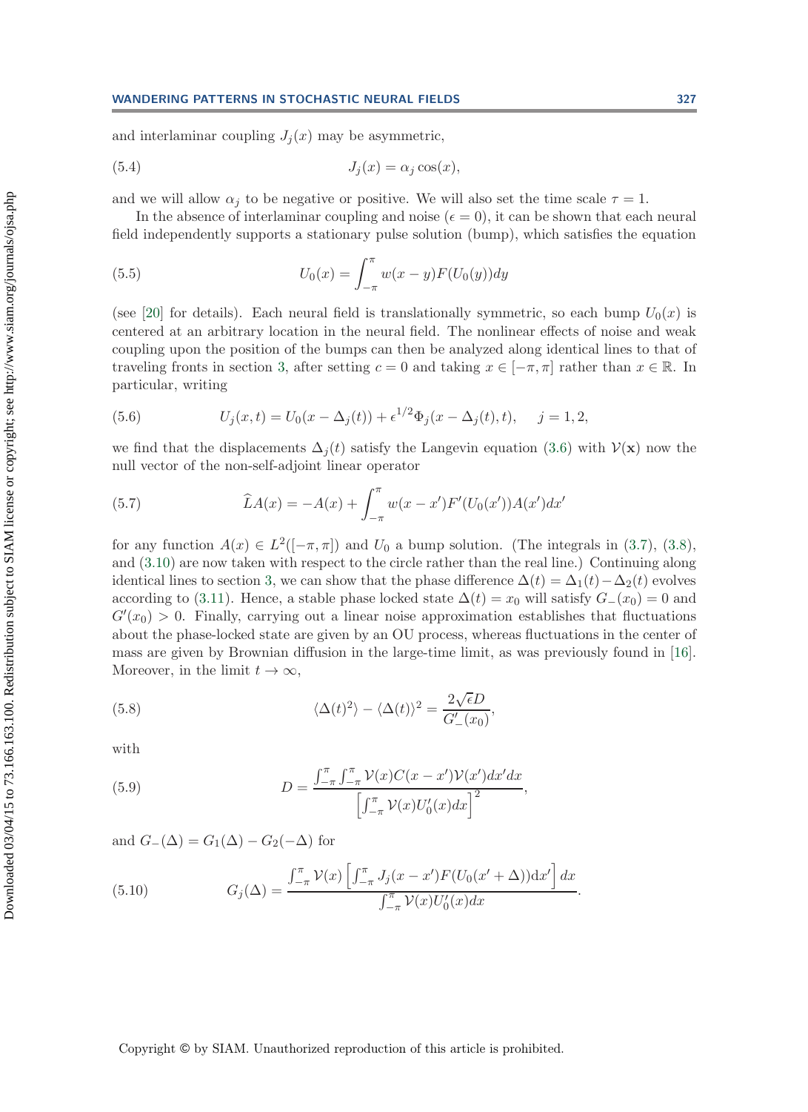and interlaminar coupling  $J_i(x)$  may be asymmetric,

<span id="page-22-2"></span>(5.4) 
$$
J_j(x) = \alpha_j \cos(x),
$$

and we will allow  $\alpha_i$  to be negative or positive. We will also set the time scale  $\tau = 1$ .

In the absence of interlaminar coupling and noise ( $\epsilon = 0$ ), it can be shown that each neural field independently supports a stationary pulse solution (bump), which satisfies the equation

<span id="page-22-0"></span>(5.5) 
$$
U_0(x) = \int_{-\pi}^{\pi} w(x - y) F(U_0(y)) dy
$$

(see [\[20\]](#page-28-2) for details). Each neural field is translationally symmetric, so each bump  $U_0(x)$  is centered at an arbitrary location in the neural field. The nonlinear effects of noise and weak coupling upon the position of the bumps can then be analyzed along identical lines to that of traveling fronts in section [3,](#page-9-0) after setting  $c = 0$  and taking  $x \in [-\pi, \pi]$  rather than  $x \in \mathbb{R}$ . In particular, writing

(5.6) 
$$
U_j(x,t) = U_0(x - \Delta_j(t)) + \epsilon^{1/2} \Phi_j(x - \Delta_j(t), t), \quad j = 1, 2,
$$

we find that the displacements  $\Delta_i(t)$  satisfy the Langevin equation [\(3.6\)](#page-11-0) with  $V(\mathbf{x})$  now the null vector of the non-self-adjoint linear operator

(5.7) 
$$
\widehat{L}A(x) = -A(x) + \int_{-\pi}^{\pi} w(x - x')F'(U_0(x'))A(x')dx'
$$

for any function  $A(x) \in L^2([-\pi, \pi])$  and  $U_0$  a bump solution. (The integrals in [\(3.7\)](#page-11-2), [\(3.8\)](#page-11-5), and [\(3.10\)](#page-11-6) are now taken with respect to the circle rather than the real line.) Continuing along identical lines to section [3,](#page-9-0) we can show that the phase difference  $\Delta(t)=\Delta_1(t)-\Delta_2(t)$  evolves according to [\(3.11\)](#page-12-1). Hence, a stable phase locked state  $\Delta(t) = x_0$  will satisfy  $G_-(x_0) = 0$  and  $G'(x_0) > 0$ . Finally, carrying out a linear noise approximation establishes that fluctuations about the phase-locked state are given by an OU process, whereas fluctuations in the center of mass are given by Brownian diffusion in the large-time limit, as was previously found in [\[16\]](#page-28-4). Moreover, in the limit  $t \to \infty$ ,

(5.8) 
$$
\langle \Delta(t)^2 \rangle - \langle \Delta(t) \rangle^2 = \frac{2\sqrt{\epsilon}D}{G'_{-}(x_0)},
$$

with

<span id="page-22-1"></span>(5.9) 
$$
D = \frac{\int_{-\pi}^{\pi} \int_{-\pi}^{\pi} \mathcal{V}(x) C(x - x') \mathcal{V}(x') dx' dx}{\left[\int_{-\pi}^{\pi} \mathcal{V}(x) U_0'(x) dx\right]^2},
$$

and  $G_-(\Delta) = G_1(\Delta) - G_2(-\Delta)$  for

(5.10) 
$$
G_j(\Delta) = \frac{\int_{-\pi}^{\pi} \mathcal{V}(x) \left[ \int_{-\pi}^{\pi} J_j(x - x') F(U_0(x' + \Delta)) dx' \right] dx}{\int_{-\pi}^{\pi} \mathcal{V}(x) U'_0(x) dx}.
$$

#### Copyright © by SIAM. Unauthorized reproduction of this article is prohibited.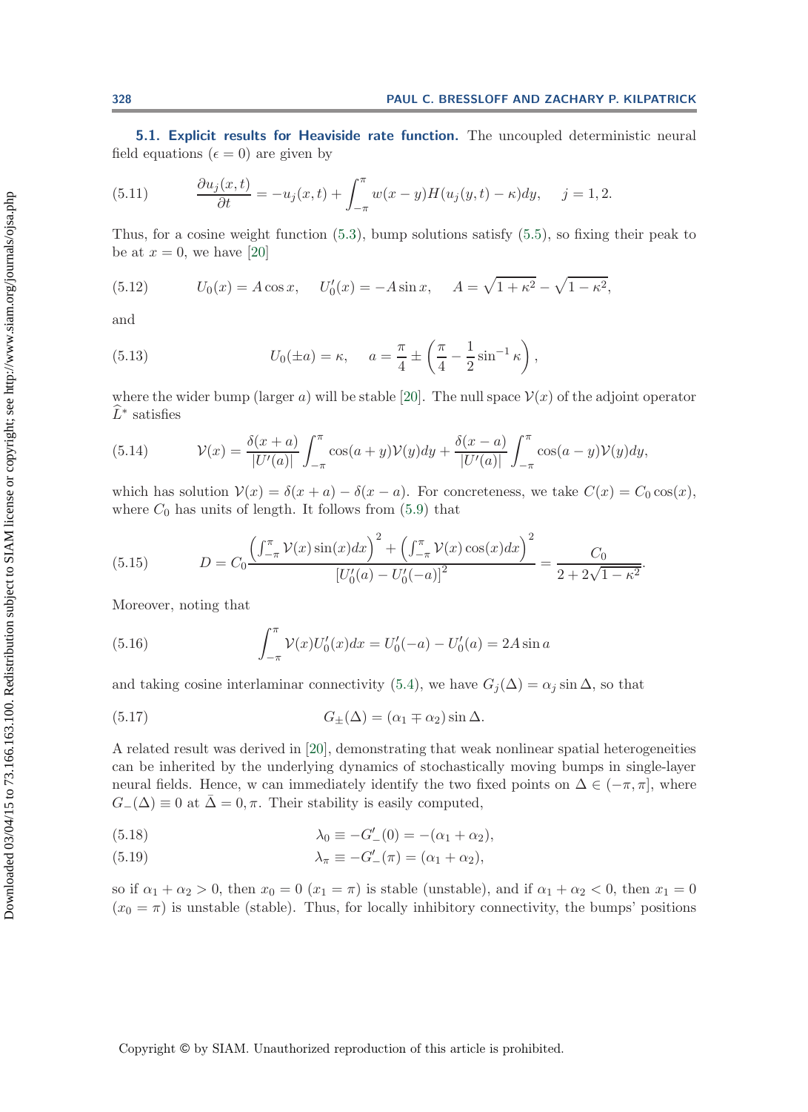**5.1. Explicit results for Heaviside rate function.** The uncoupled deterministic neural field equations ( $\epsilon = 0$ ) are given by

(5.11) 
$$
\frac{\partial u_j(x,t)}{\partial t} = -u_j(x,t) + \int_{-\pi}^{\pi} w(x-y)H(u_j(y,t) - \kappa)dy, \quad j = 1, 2.
$$

Thus, for a cosine weight function [\(5.3\)](#page-21-1), bump solutions satisfy [\(5.5\)](#page-22-0), so fixing their peak to be at  $x = 0$ , we have [\[20\]](#page-28-2)

(5.12) 
$$
U_0(x) = A \cos x, \quad U'_0(x) = -A \sin x, \quad A = \sqrt{1 + \kappa^2} - \sqrt{1 - \kappa^2},
$$

and

(5.13) 
$$
U_0(\pm a) = \kappa, \quad a = \frac{\pi}{4} \pm \left(\frac{\pi}{4} - \frac{1}{2}\sin^{-1}\kappa\right),
$$

where the wider bump (larger a) will be stable [\[20\]](#page-28-2). The null space  $\mathcal{V}(x)$  of the adjoint operator  $\widehat{L}^*$  satisfies

(5.14) 
$$
\mathcal{V}(x) = \frac{\delta(x+a)}{|U'(a)|} \int_{-\pi}^{\pi} \cos(a+y) \mathcal{V}(y) dy + \frac{\delta(x-a)}{|U'(a)|} \int_{-\pi}^{\pi} \cos(a-y) \mathcal{V}(y) dy,
$$

which has solution  $V(x) = \delta(x+a) - \delta(x-a)$ . For concreteness, we take  $C(x) = C_0 \cos(x)$ , where  $C_0$  has units of length. It follows from  $(5.9)$  that

<span id="page-23-1"></span>(5.15) 
$$
D = C_0 \frac{\left(\int_{-\pi}^{\pi} \mathcal{V}(x) \sin(x) dx\right)^2 + \left(\int_{-\pi}^{\pi} \mathcal{V}(x) \cos(x) dx\right)^2}{\left[U'_0(a) - U'_0(-a)\right]^2} = \frac{C_0}{2 + 2\sqrt{1 - \kappa^2}}.
$$

Moreover, noting that

(5.16) 
$$
\int_{-\pi}^{\pi} \mathcal{V}(x)U_0'(x)dx = U_0'(-a) - U_0'(a) = 2A\sin a
$$

and taking cosine interlaminar connectivity [\(5.4\)](#page-22-2), we have  $G_i(\Delta) = \alpha_i \sin \Delta$ , so that

<span id="page-23-0"></span>(5.17) 
$$
G_{\pm}(\Delta) = (\alpha_1 \mp \alpha_2) \sin \Delta.
$$

A related result was derived in [\[20\]](#page-28-2), demonstrating that weak nonlinear spatial heterogeneities can be inherited by the underlying dynamics of stochastically moving bumps in single-layer neural fields. Hence, w can immediately identify the two fixed points on  $\Delta \in (-\pi, \pi]$ , where  $G_-(\Delta) \equiv 0$  at  $\bar{\Delta} = 0, \pi$ . Their stability is easily computed,

(5.18) 
$$
\lambda_0 \equiv -G'_{-}(0) = -(\alpha_1 + \alpha_2),
$$

(5.19) 
$$
\lambda_{\pi} \equiv -G'_{-}(\pi) = (\alpha_{1} + \alpha_{2}),
$$

so if  $\alpha_1 + \alpha_2 > 0$ , then  $x_0 = 0$   $(x_1 = \pi)$  is stable (unstable), and if  $\alpha_1 + \alpha_2 < 0$ , then  $x_1 = 0$  $(x_0 = \pi)$  is unstable (stable). Thus, for locally inhibitory connectivity, the bumps' positions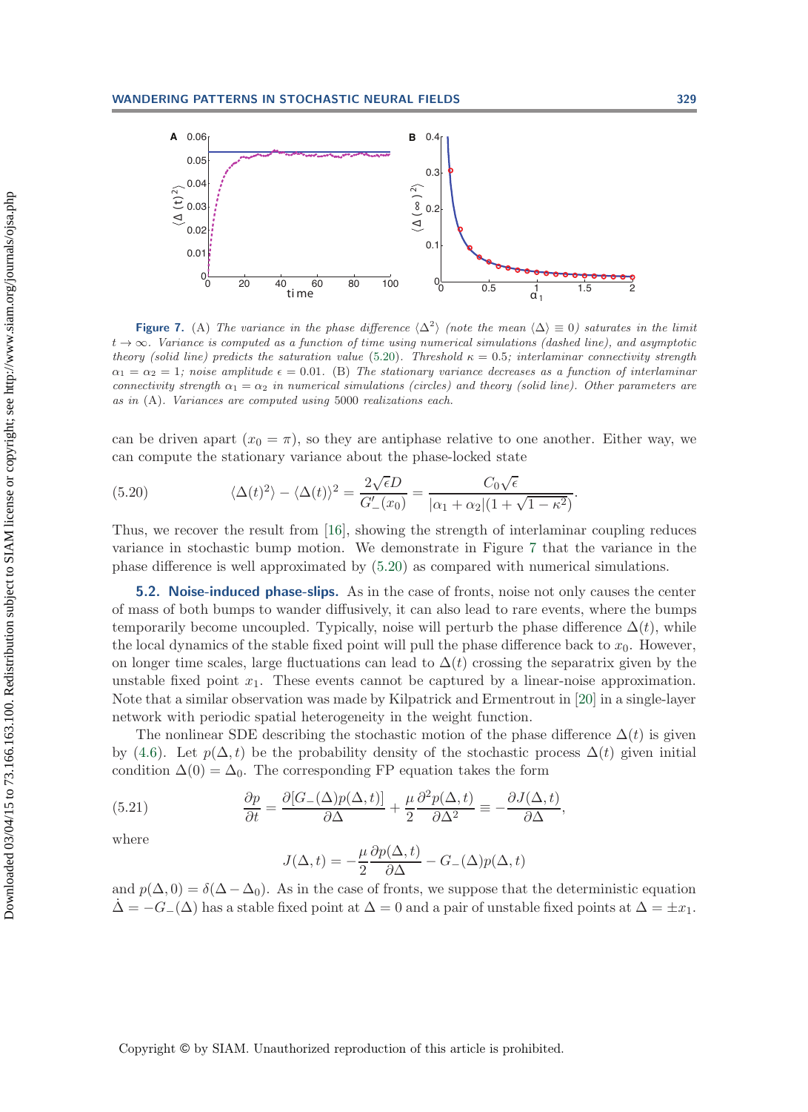

<span id="page-24-1"></span>**Figure 7.** (A) The variance in the phase difference  $\langle \Delta^2 \rangle$  (note the mean  $\langle \Delta \rangle \equiv 0$ ) saturates in the limit  $t \to \infty$ . Variance is computed as a function of time using numerical simulations (dashed line), and asymptotic theory (solid line) predicts the saturation value [\(5.20\)](#page-24-0). Threshold  $\kappa = 0.5$ ; interlaminar connectivity strength  $\alpha_1 = \alpha_2 = 1$ ; noise amplitude  $\epsilon = 0.01$ . (B) The stationary variance decreases as a function of interlaminar connectivity strength  $\alpha_1 = \alpha_2$  in numerical simulations (circles) and theory (solid line). Other parameters are as in (A). Variances are computed using 5000 realizations each.

can be driven apart  $(x_0 = \pi)$ , so they are antiphase relative to one another. Either way, we can compute the stationary variance about the phase-locked state

<span id="page-24-0"></span>(5.20) 
$$
\langle \Delta(t)^2 \rangle - \langle \Delta(t) \rangle^2 = \frac{2\sqrt{\epsilon}D}{G'_{-}(x_0)} = \frac{C_0\sqrt{\epsilon}}{|\alpha_1 + \alpha_2|(1 + \sqrt{1 - \kappa^2})}.
$$

Thus, we recover the result from [\[16\]](#page-28-4), showing the strength of interlaminar coupling reduces variance in stochastic bump motion. We demonstrate in Figure [7](#page-24-1) that the variance in the phase difference is well approximated by [\(5.20\)](#page-24-0) as compared with numerical simulations.

**5.2. Noise-induced phase-slips.** As in the case of fronts, noise not only causes the center of mass of both bumps to wander diffusively, it can also lead to rare events, where the bumps temporarily become uncoupled. Typically, noise will perturb the phase difference  $\Delta(t)$ , while the local dynamics of the stable fixed point will pull the phase difference back to  $x_0$ . However, on longer time scales, large fluctuations can lead to  $\Delta(t)$  crossing the separatrix given by the unstable fixed point  $x_1$ . These events cannot be captured by a linear-noise approximation. Note that a similar observation was made by Kilpatrick and Ermentrout in [\[20\]](#page-28-2) in a single-layer network with periodic spatial heterogeneity in the weight function.

The nonlinear SDE describing the stochastic motion of the phase difference  $\Delta(t)$  is given by [\(4.6\)](#page-17-2). Let  $p(\Delta, t)$  be the probability density of the stochastic process  $\Delta(t)$  given initial condition  $\Delta(0) = \Delta_0$ . The corresponding FP equation takes the form

(5.21) 
$$
\frac{\partial p}{\partial t} = \frac{\partial [G_{-}(\Delta)p(\Delta,t)]}{\partial \Delta} + \frac{\mu}{2} \frac{\partial^2 p(\Delta,t)}{\partial \Delta^2} \equiv -\frac{\partial J(\Delta,t)}{\partial \Delta},
$$

where

$$
J(\Delta,t)=-\frac{\mu}{2}\frac{\partial p(\Delta,t)}{\partial \Delta}-G_{-}(\Delta)p(\Delta,t)
$$

and  $p(\Delta, 0) = \delta(\Delta - \Delta_0)$ . As in the case of fronts, we suppose that the deterministic equation  $\Delta = -G_{-}(\Delta)$  has a stable fixed point at  $\Delta = 0$  and a pair of unstable fixed points at  $\Delta = \pm x_1$ .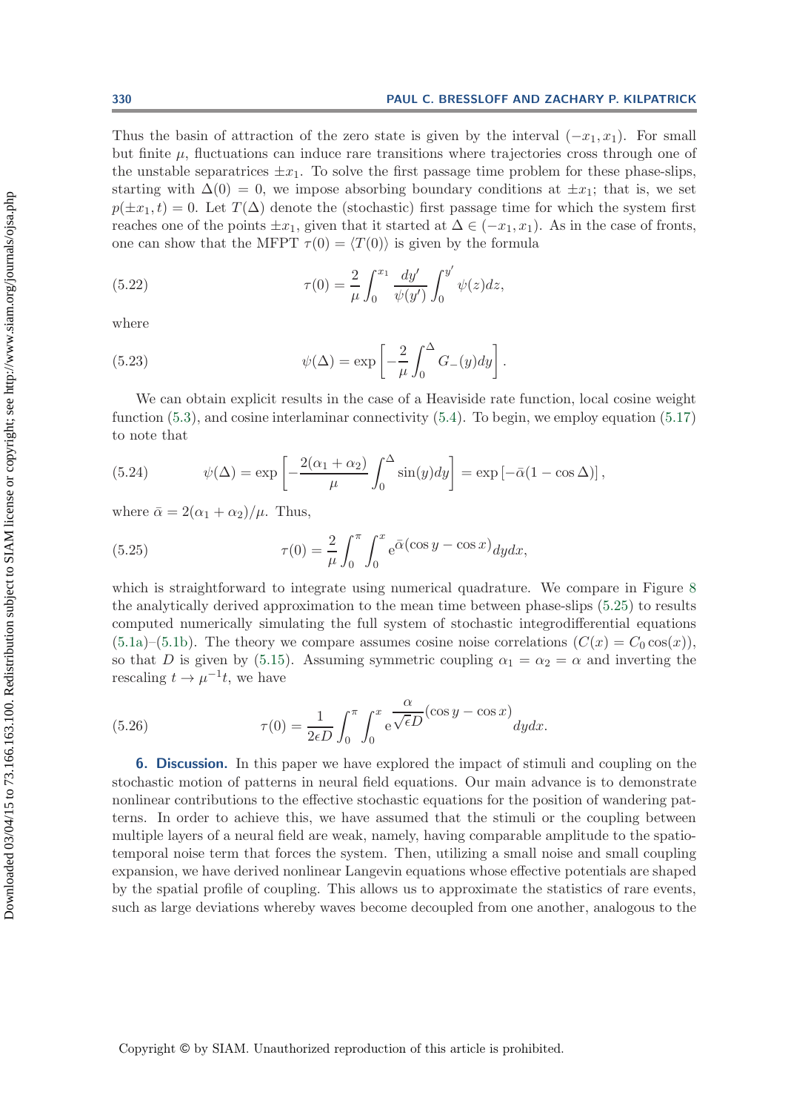Thus the basin of attraction of the zero state is given by the interval  $(-x_1, x_1)$ . For small but finite  $\mu$ , fluctuations can induce rare transitions where trajectories cross through one of the unstable separatrices  $\pm x_1$ . To solve the first passage time problem for these phase-slips, starting with  $\Delta(0) = 0$ , we impose absorbing boundary conditions at  $\pm x_1$ ; that is, we set  $p(\pm x_1, t) = 0$ . Let  $T(\Delta)$  denote the (stochastic) first passage time for which the system first reaches one of the points  $\pm x_1$ , given that it started at  $\Delta \in (-x_1, x_1)$ . As in the case of fronts, one can show that the MFPT  $\tau(0) = \langle T(0) \rangle$  is given by the formula

(5.22) 
$$
\tau(0) = \frac{2}{\mu} \int_0^{x_1} \frac{dy'}{\psi(y')} \int_0^{y'} \psi(z) dz,
$$

where

(5.23) 
$$
\psi(\Delta) = \exp \left[ -\frac{2}{\mu} \int_0^{\Delta} G_-(y) dy \right].
$$

We can obtain explicit results in the case of a Heaviside rate function, local cosine weight function [\(5.3\)](#page-21-1), and cosine interlaminar connectivity [\(5.4\)](#page-22-2). To begin, we employ equation [\(5.17\)](#page-23-0) to note that

(5.24) 
$$
\psi(\Delta) = \exp\left[-\frac{2(\alpha_1 + \alpha_2)}{\mu} \int_0^{\Delta} \sin(y) dy\right] = \exp\left[-\bar{\alpha}(1 - \cos \Delta)\right],
$$

where  $\bar{\alpha} = 2(\alpha_1 + \alpha_2)/\mu$ . Thus,

<span id="page-25-0"></span>(5.25) 
$$
\tau(0) = \frac{2}{\mu} \int_0^{\pi} \int_0^x e^{\bar{\alpha}(\cos y - \cos x)} dy dx,
$$

which is straightforward to integrate using numerical quadrature. We compare in Figure [8](#page-26-0) the analytically derived approximation to the mean time between phase-slips [\(5.25\)](#page-25-0) to results computed numerically simulating the full system of stochastic integrodifferential equations  $(5.1a)$ – $(5.1b)$ . The theory we compare assumes cosine noise correlations  $(C(x) = C_0 \cos(x))$ , so that D is given by [\(5.15\)](#page-23-1). Assuming symmetric coupling  $\alpha_1 = \alpha_2 = \alpha$  and inverting the rescaling  $t \to \mu^{-1}t$ , we have

<span id="page-25-1"></span>(5.26) 
$$
\tau(0) = \frac{1}{2\epsilon D} \int_0^{\pi} \int_0^x e^{\frac{\alpha}{\sqrt{\epsilon}D} (\cos y - \cos x)} dy dx.
$$

**6. Discussion.** In this paper we have explored the impact of stimuli and coupling on the stochastic motion of patterns in neural field equations. Our main advance is to demonstrate nonlinear contributions to the effective stochastic equations for the position of wandering patterns. In order to achieve this, we have assumed that the stimuli or the coupling between multiple layers of a neural field are weak, namely, having comparable amplitude to the spatiotemporal noise term that forces the system. Then, utilizing a small noise and small coupling expansion, we have derived nonlinear Langevin equations whose effective potentials are shaped by the spatial profile of coupling. This allows us to approximate the statistics of rare events, such as large deviations whereby waves become decoupled from one another, analogous to the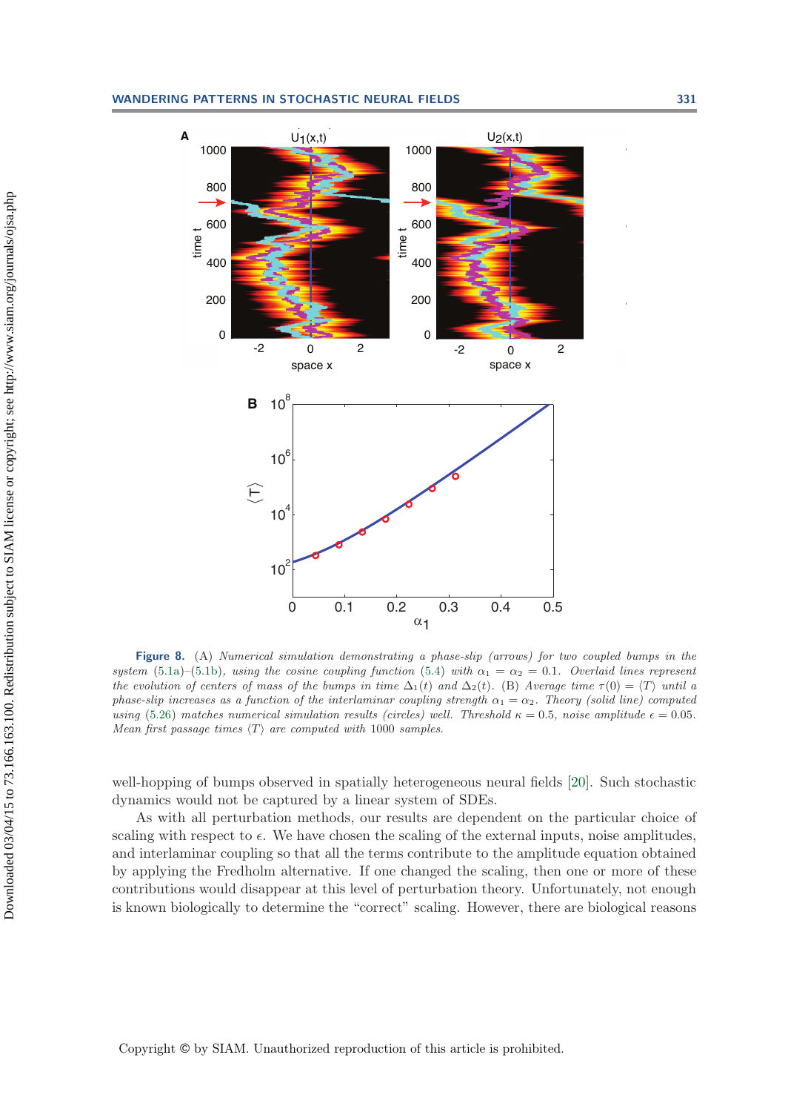## **WANDERING PATTERNS IN STOCHASTIC NEURAL FIELDS 331**



<span id="page-26-0"></span>**Figure 8.** (A) Numerical simulation demonstrating a phase-slip (arrows) for two coupled bumps in the system [\(5.1a\)](#page-21-2)–[\(5.1b\)](#page-21-3), using the cosine coupling function [\(5.4\)](#page-22-2) with  $\alpha_1 = \alpha_2 = 0.1$ . Overlaid lines represent the evolution of centers of mass of the bumps in time  $\Delta_1(t)$  and  $\Delta_2(t)$ . (B) Average time  $\tau(0) = \langle T \rangle$  until a phase-slip increases as a function of the interlaminar coupling strength  $\alpha_1 = \alpha_2$ . Theory (solid line) computed using [\(5.26\)](#page-25-1) matches numerical simulation results (circles) well. Threshold  $\kappa = 0.5$ , noise amplitude  $\epsilon = 0.05$ . Mean first passage times  $\langle T \rangle$  are computed with 1000 samples.

well-hopping of bumps observed in spatially heterogeneous neural fields [\[20\]](#page-28-2). Such stochastic dynamics would not be captured by a linear system of SDEs.

As with all perturbation methods, our results are dependent on the particular choice of scaling with respect to  $\epsilon$ . We have chosen the scaling of the external inputs, noise amplitudes, and interlaminar coupling so that all the terms contribute to the amplitude equation obtained by applying the Fredholm alternative. If one changed the scaling, then one or more of these contributions would disappear at this level of perturbation theory. Unfortunately, not enough is known biologically to determine the "correct" scaling. However, there are biological reasons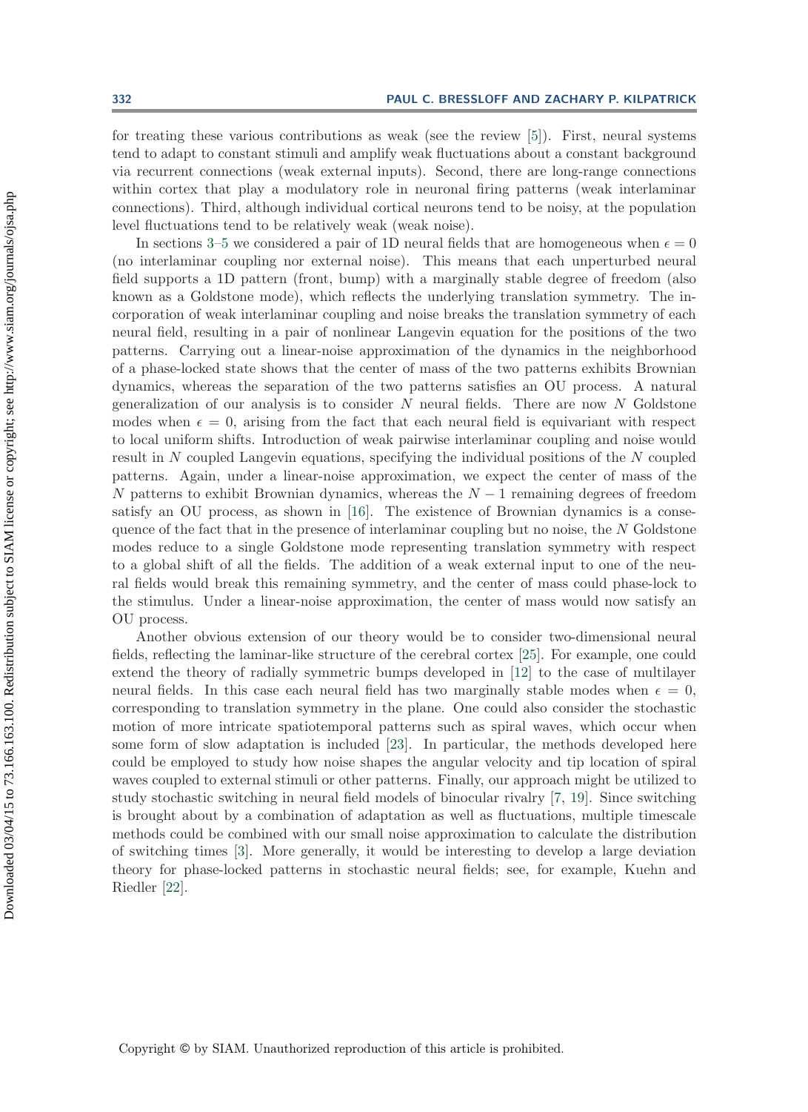for treating these various contributions as weak (see the review [\[5\]](#page-28-12)). First, neural systems tend to adapt to constant stimuli and amplify weak fluctuations about a constant background via recurrent connections (weak external inputs). Second, there are long-range connections within cortex that play a modulatory role in neuronal firing patterns (weak interlaminar connections). Third, although individual cortical neurons tend to be noisy, at the population level fluctuations tend to be relatively weak (weak noise).

In sections [3](#page-9-0)[–5](#page-21-0) we considered a pair of 1D neural fields that are homogeneous when  $\epsilon = 0$ (no interlaminar coupling nor external noise). This means that each unperturbed neural field supports a 1D pattern (front, bump) with a marginally stable degree of freedom (also known as a Goldstone mode), which reflects the underlying translation symmetry. The incorporation of weak interlaminar coupling and noise breaks the translation symmetry of each neural field, resulting in a pair of nonlinear Langevin equation for the positions of the two patterns. Carrying out a linear-noise approximation of the dynamics in the neighborhood of a phase-locked state shows that the center of mass of the two patterns exhibits Brownian dynamics, whereas the separation of the two patterns satisfies an OU process. A natural generalization of our analysis is to consider  $N$  neural fields. There are now  $N$  Goldstone modes when  $\epsilon = 0$ , arising from the fact that each neural field is equivariant with respect to local uniform shifts. Introduction of weak pairwise interlaminar coupling and noise would result in N coupled Langevin equations, specifying the individual positions of the N coupled patterns. Again, under a linear-noise approximation, we expect the center of mass of the N patterns to exhibit Brownian dynamics, whereas the  $N-1$  remaining degrees of freedom satisfy an OU process, as shown in [\[16\]](#page-28-4). The existence of Brownian dynamics is a consequence of the fact that in the presence of interlaminar coupling but no noise, the  $N$  Goldstone modes reduce to a single Goldstone mode representing translation symmetry with respect to a global shift of all the fields. The addition of a weak external input to one of the neural fields would break this remaining symmetry, and the center of mass could phase-lock to the stimulus. Under a linear-noise approximation, the center of mass would now satisfy an OU process.

Another obvious extension of our theory would be to consider two-dimensional neural fields, reflecting the laminar-like structure of the cerebral cortex [\[25\]](#page-28-10). For example, one could extend the theory of radially symmetric bumps developed in [\[12\]](#page-28-20) to the case of multilayer neural fields. In this case each neural field has two marginally stable modes when  $\epsilon = 0$ , corresponding to translation symmetry in the plane. One could also consider the stochastic motion of more intricate spatiotemporal patterns such as spiral waves, which occur when some form of slow adaptation is included [\[23\]](#page-28-21). In particular, the methods developed here could be employed to study how noise shapes the angular velocity and tip location of spiral waves coupled to external stimuli or other patterns. Finally, our approach might be utilized to study stochastic switching in neural field models of binocular rivalry [\[7,](#page-28-22) [19\]](#page-28-23). Since switching is brought about by a combination of adaptation as well as fluctuations, multiple timescale methods could be combined with our small noise approximation to calculate the distribution of switching times [\[3\]](#page-28-24). More generally, it would be interesting to develop a large deviation theory for phase-locked patterns in stochastic neural fields; see, for example, Kuehn and Riedler [\[22\]](#page-28-25).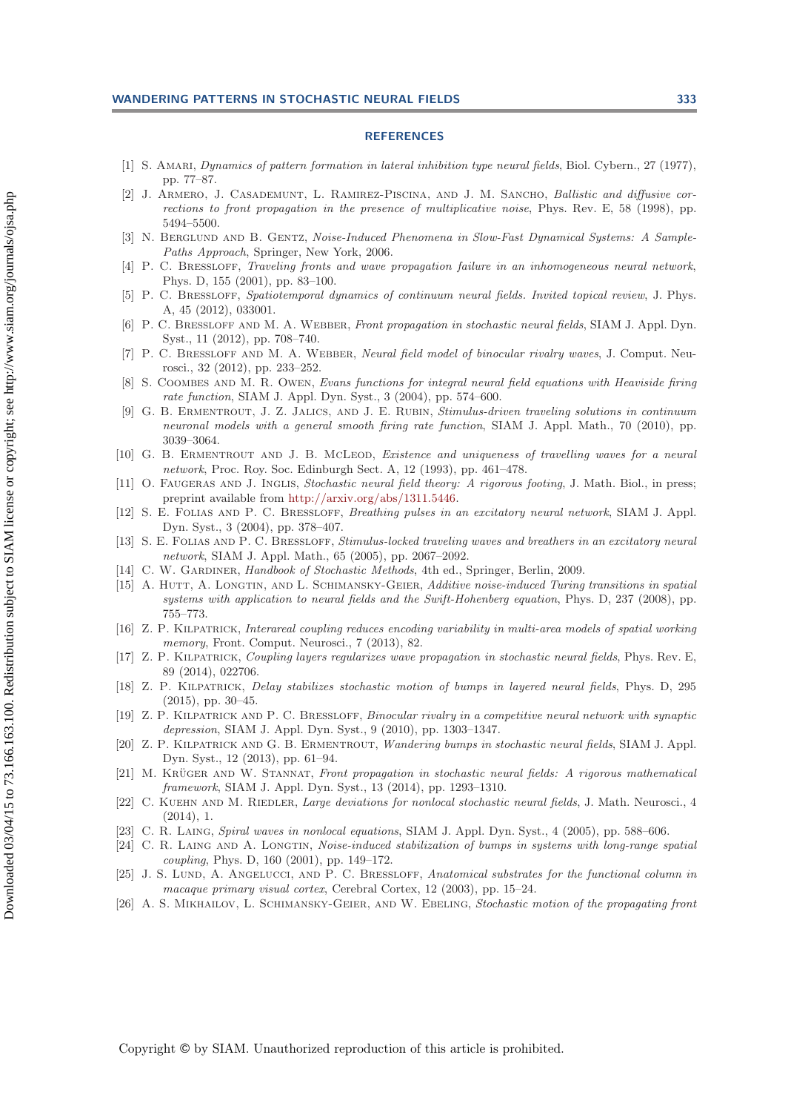### **REFERENCES**

- <span id="page-28-11"></span>[1] S. Amari, Dynamics of pattern formation in lateral inhibition type neural fields, Biol. Cybern., 27 (1977), pp. 77–87.
- <span id="page-28-6"></span>[2] J. ARMERO, J. CASADEMUNT, L. RAMIREZ-PISCINA, AND J. M. SANCHO, Ballistic and diffusive corrections to front propagation in the presence of multiplicative noise, Phys. Rev. E, 58 (1998), pp. 5494–5500.
- <span id="page-28-24"></span>[3] N. BERGLUND AND B. GENTZ, Noise-Induced Phenomena in Slow-Fast Dynamical Systems: A Sample-Paths Approach, Springer, New York, 2006.
- <span id="page-28-18"></span>[4] P. C. BRESSLOFF, Traveling fronts and wave propagation failure in an inhomogeneous neural network, Phys. D, 155 (2001), pp. 83–100.
- <span id="page-28-12"></span>[5] P. C. Bressloff, Spatiotemporal dynamics of continuum neural fields. Invited topical review, J. Phys. A, 45 (2012), 033001.
- <span id="page-28-0"></span>[6] P. C. Bressloff and M. A. Webber, Front propagation in stochastic neural fields, SIAM J. Appl. Dyn. Syst., 11 (2012), pp. 708–740.
- <span id="page-28-22"></span>[7] P. C. BRESSLOFF AND M. A. WEBBER, Neural field model of binocular rivalry waves, J. Comput. Neurosci., 32 (2012), pp. 233–252.
- <span id="page-28-13"></span>[8] S. Coombes and M. R. Owen, Evans functions for integral neural field equations with Heaviside firing rate function, SIAM J. Appl. Dyn. Syst., 3 (2004), pp. 574–600.
- <span id="page-28-15"></span>[9] G. B. Ermentrout, J. Z. Jalics, and J. E. Rubin, Stimulus-driven traveling solutions in continuum neuronal models with a general smooth firing rate function, SIAM J. Appl. Math., 70 (2010), pp. 3039–3064.
- <span id="page-28-16"></span>[10] G. B. ERMENTROUT AND J. B. MCLEOD, Existence and uniqueness of travelling waves for a neural network, Proc. Roy. Soc. Edinburgh Sect. A, 12 (1993), pp. 461–478.
- <span id="page-28-8"></span>[11] O. FAUGERAS AND J. INGLIS, Stochastic neural field theory: A rigorous footing, J. Math. Biol., in press; preprint available from [http://arxiv.org/abs/1311.5446.](http://arxiv.org/abs/1311.5446)
- <span id="page-28-20"></span>[12] S. E. FOLIAS AND P. C. BRESSLOFF, Breathing pulses in an excitatory neural network, SIAM J. Appl. Dyn. Syst., 3 (2004), pp. 378–407.
- <span id="page-28-14"></span>[13] S. E. FOLIAS AND P. C. BRESSLOFF, Stimulus-locked traveling waves and breathers in an excitatory neural network, SIAM J. Appl. Math., 65 (2005), pp. 2067–2092.
- <span id="page-28-17"></span><span id="page-28-1"></span>[14] C. W. GARDINER, *Handbook of Stochastic Methods*, 4th ed., Springer, Berlin, 2009.
- [15] A. HUTT, A. LONGTIN, AND L. SCHIMANSKY-GEIER, Additive noise-induced Turing transitions in spatial systems with application to neural fields and the Swift-Hohenberg equation, Phys. D, 237 (2008), pp. 755–773.
- <span id="page-28-4"></span>[16] Z. P. Kilpatrick, Interareal coupling reduces encoding variability in multi-area models of spatial working memory, Front. Comput. Neurosci., 7 (2013), 82.
- <span id="page-28-5"></span>[17] Z. P. KILPATRICK, Coupling layers regularizes wave propagation in stochastic neural fields, Phys. Rev. E, 89 (2014), 022706.
- <span id="page-28-19"></span>[18] Z. P. KILPATRICK, Delay stabilizes stochastic motion of bumps in layered neural fields, Phys. D, 295 (2015), pp. 30–45.
- <span id="page-28-23"></span>[19] Z. P. Kilpatrick and P. C. Bressloff, Binocular rivalry in a competitive neural network with synaptic depression, SIAM J. Appl. Dyn. Syst., 9 (2010), pp. 1303–1347.
- <span id="page-28-2"></span>[20] Z. P. Kilpatrick and G. B. Ermentrout, Wandering bumps in stochastic neural fields, SIAM J. Appl. Dyn. Syst., 12 (2013), pp. 61–94.
- <span id="page-28-9"></span>[21] M. KRÜGER AND W. STANNAT, Front propagation in stochastic neural fields: A rigorous mathematical framework, SIAM J. Appl. Dyn. Syst., 13 (2014), pp. 1293–1310.
- <span id="page-28-25"></span>[22] C. KUEHN AND M. RIEDLER, Large deviations for nonlocal stochastic neural fields, J. Math. Neurosci., 4 (2014), 1.
- <span id="page-28-21"></span><span id="page-28-3"></span>[23] C. R. Laing, Spiral waves in nonlocal equations, SIAM J. Appl. Dyn. Syst., 4 (2005), pp. 588–606.
- [24] C. R. LAING AND A. LONGTIN, Noise-induced stabilization of bumps in systems with long-range spatial coupling, Phys. D, 160 (2001), pp. 149–172.
- <span id="page-28-10"></span>[25] J. S. LUND, A. ANGELUCCI, AND P. C. BRESSLOFF, Anatomical substrates for the functional column in macaque primary visual cortex, Cerebral Cortex, 12 (2003), pp. 15–24.
- <span id="page-28-7"></span>[26] A. S. MIKHAILOV, L. SCHIMANSKY-GEIER, AND W. EBELING, Stochastic motion of the propagating front